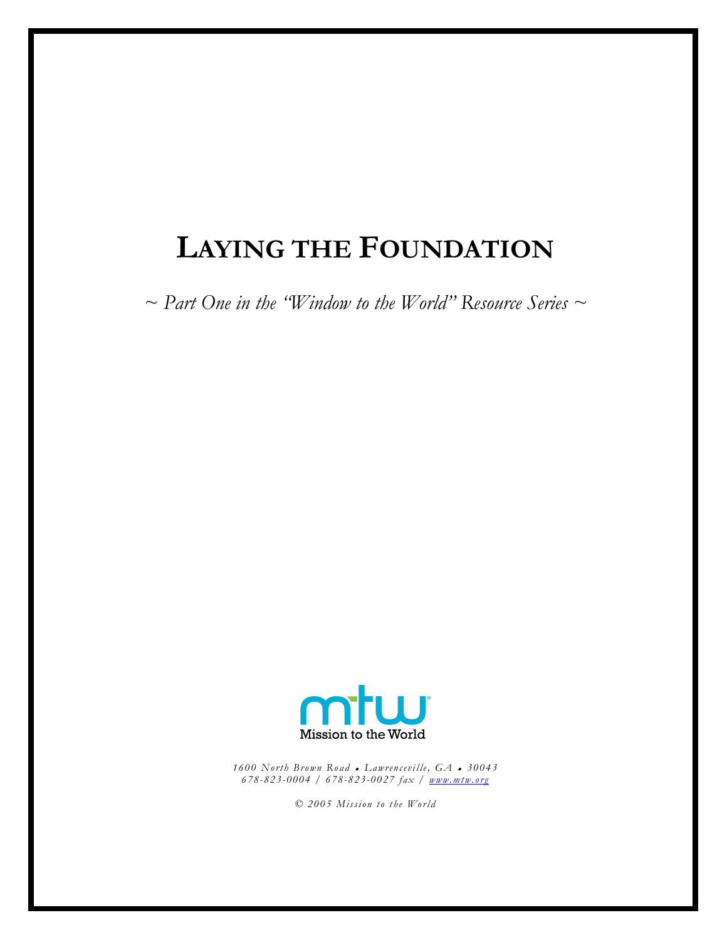# LAYING THE FOUNDATION

 $\sim$  Part One in the "Window to the World" Resource Series  $\sim$ 



1600 North Brown Road • Lawrenceville,  $GA$  • 30043 678- 823-0004 / 678-823- 0027 fax / www.mtw.org

© 2005 Mission to the World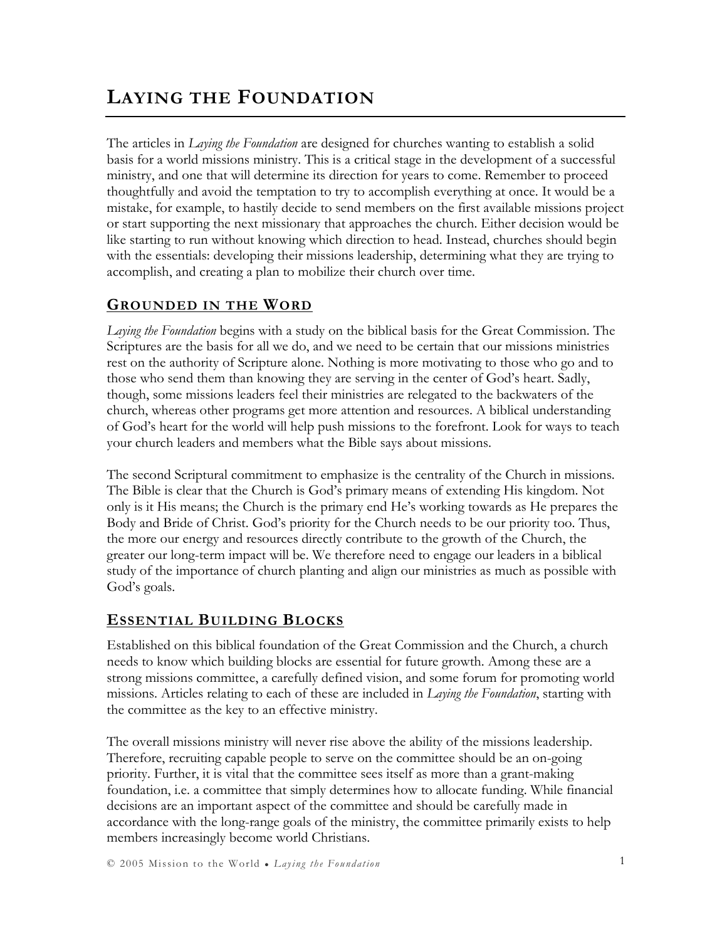## LAYING THE FOUNDATION

The articles in *Laying the Foundation* are designed for churches wanting to establish a solid basis for a world missions ministry. This is a critical stage in the development of a successful ministry, and one that will determine its direction for years to come. Remember to proceed thoughtfully and avoid the temptation to try to accomplish everything at once. It would be a mistake, for example, to hastily decide to send members on the first available missions project or start supporting the next missionary that approaches the church. Either decision would be like starting to run without knowing which direction to head. Instead, churches should begin with the essentials: developing their missions leadership, determining what they are trying to accomplish, and creating a plan to mobilize their church over time.

### GROUNDED IN THE WORD

Laying the Foundation begins with a study on the biblical basis for the Great Commission. The Scriptures are the basis for all we do, and we need to be certain that our missions ministries rest on the authority of Scripture alone. Nothing is more motivating to those who go and to those who send them than knowing they are serving in the center of God's heart. Sadly, though, some missions leaders feel their ministries are relegated to the backwaters of the church, whereas other programs get more attention and resources. A biblical understanding of God's heart for the world will help push missions to the forefront. Look for ways to teach your church leaders and members what the Bible says about missions.

The second Scriptural commitment to emphasize is the centrality of the Church in missions. The Bible is clear that the Church is God's primary means of extending His kingdom. Not only is it His means; the Church is the primary end He's working towards as He prepares the Body and Bride of Christ. God's priority for the Church needs to be our priority too. Thus, the more our energy and resources directly contribute to the growth of the Church, the greater our long-term impact will be. We therefore need to engage our leaders in a biblical study of the importance of church planting and align our ministries as much as possible with God's goals.

### ESSENTIAL BUILDING BLOCKS

Established on this biblical foundation of the Great Commission and the Church, a church needs to know which building blocks are essential for future growth. Among these are a strong missions committee, a carefully defined vision, and some forum for promoting world missions. Articles relating to each of these are included in *Laying the Foundation*, starting with the committee as the key to an effective ministry.

The overall missions ministry will never rise above the ability of the missions leadership. Therefore, recruiting capable people to serve on the committee should be an on-going priority. Further, it is vital that the committee sees itself as more than a grant-making foundation, i.e. a committee that simply determines how to allocate funding. While financial decisions are an important aspect of the committee and should be carefully made in accordance with the long-range goals of the ministry, the committee primarily exists to help members increasingly become world Christians.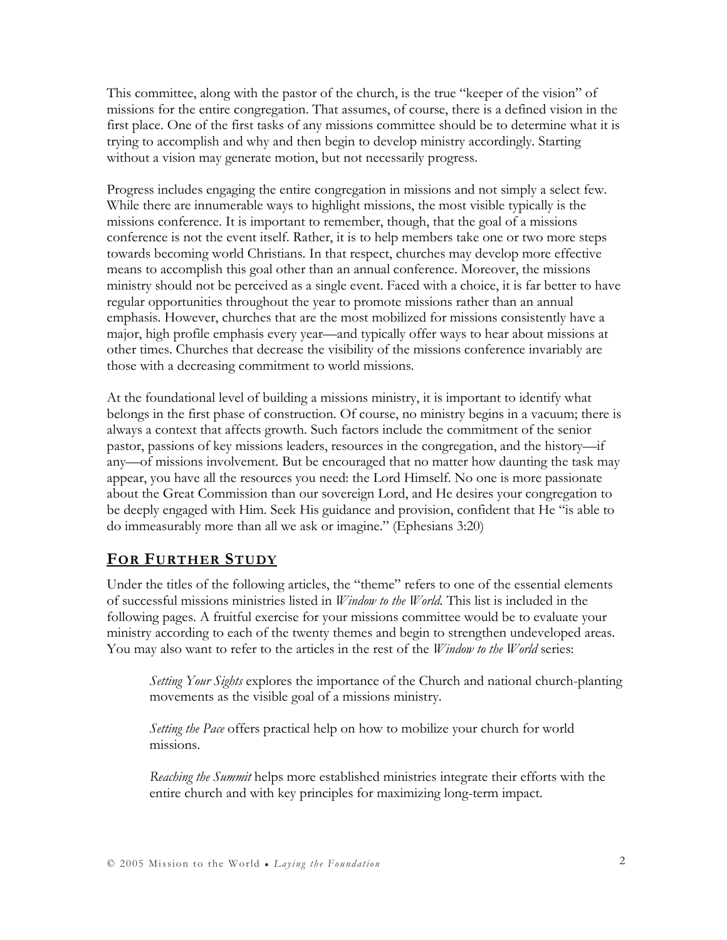This committee, along with the pastor of the church, is the true "keeper of the vision" of missions for the entire congregation. That assumes, of course, there is a defined vision in the first place. One of the first tasks of any missions committee should be to determine what it is trying to accomplish and why and then begin to develop ministry accordingly. Starting without a vision may generate motion, but not necessarily progress.

Progress includes engaging the entire congregation in missions and not simply a select few. While there are innumerable ways to highlight missions, the most visible typically is the missions conference. It is important to remember, though, that the goal of a missions conference is not the event itself. Rather, it is to help members take one or two more steps towards becoming world Christians. In that respect, churches may develop more effective means to accomplish this goal other than an annual conference. Moreover, the missions ministry should not be perceived as a single event. Faced with a choice, it is far better to have regular opportunities throughout the year to promote missions rather than an annual emphasis. However, churches that are the most mobilized for missions consistently have a major, high profile emphasis every year—and typically offer ways to hear about missions at other times. Churches that decrease the visibility of the missions conference invariably are those with a decreasing commitment to world missions.

At the foundational level of building a missions ministry, it is important to identify what belongs in the first phase of construction. Of course, no ministry begins in a vacuum; there is always a context that affects growth. Such factors include the commitment of the senior pastor, passions of key missions leaders, resources in the congregation, and the history—if any—of missions involvement. But be encouraged that no matter how daunting the task may appear, you have all the resources you need: the Lord Himself. No one is more passionate about the Great Commission than our sovereign Lord, and He desires your congregation to be deeply engaged with Him. Seek His guidance and provision, confident that He "is able to do immeasurably more than all we ask or imagine." (Ephesians 3:20)

### FOR FURTHER STUDY

Under the titles of the following articles, the "theme" refers to one of the essential elements of successful missions ministries listed in Window to the World. This list is included in the following pages. A fruitful exercise for your missions committee would be to evaluate your ministry according to each of the twenty themes and begin to strengthen undeveloped areas. You may also want to refer to the articles in the rest of the *Window to the World* series:

Setting Your Sights explores the importance of the Church and national church-planting movements as the visible goal of a missions ministry.

*Setting the Pace* offers practical help on how to mobilize your church for world missions.

Reaching the Summit helps more established ministries integrate their efforts with the entire church and with key principles for maximizing long-term impact.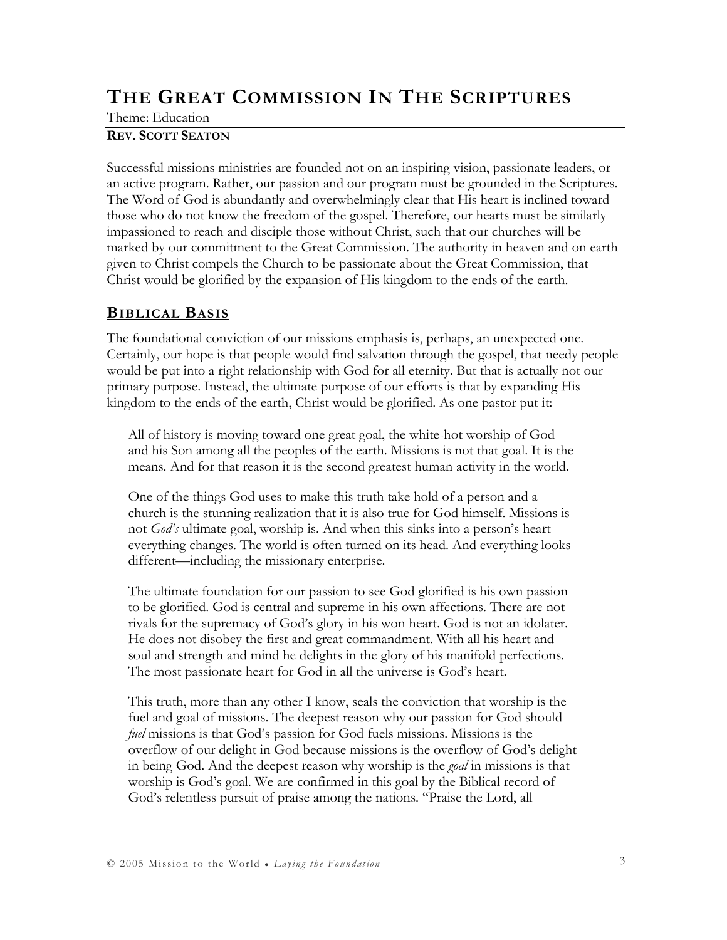## THE GREAT COMMISSION IN THE SCRIPTURES

Theme: Education

#### REV. SCOTT SEATON

Successful missions ministries are founded not on an inspiring vision, passionate leaders, or an active program. Rather, our passion and our program must be grounded in the Scriptures. The Word of God is abundantly and overwhelmingly clear that His heart is inclined toward those who do not know the freedom of the gospel. Therefore, our hearts must be similarly impassioned to reach and disciple those without Christ, such that our churches will be marked by our commitment to the Great Commission. The authority in heaven and on earth given to Christ compels the Church to be passionate about the Great Commission, that Christ would be glorified by the expansion of His kingdom to the ends of the earth.

#### **BIBLICAL BASIS**

The foundational conviction of our missions emphasis is, perhaps, an unexpected one. Certainly, our hope is that people would find salvation through the gospel, that needy people would be put into a right relationship with God for all eternity. But that is actually not our primary purpose. Instead, the ultimate purpose of our efforts is that by expanding His kingdom to the ends of the earth, Christ would be glorified. As one pastor put it:

All of history is moving toward one great goal, the white-hot worship of God and his Son among all the peoples of the earth. Missions is not that goal. It is the means. And for that reason it is the second greatest human activity in the world.

One of the things God uses to make this truth take hold of a person and a church is the stunning realization that it is also true for God himself. Missions is not God's ultimate goal, worship is. And when this sinks into a person's heart everything changes. The world is often turned on its head. And everything looks different—including the missionary enterprise.

The ultimate foundation for our passion to see God glorified is his own passion to be glorified. God is central and supreme in his own affections. There are not rivals for the supremacy of God's glory in his won heart. God is not an idolater. He does not disobey the first and great commandment. With all his heart and soul and strength and mind he delights in the glory of his manifold perfections. The most passionate heart for God in all the universe is God's heart.

This truth, more than any other I know, seals the conviction that worship is the fuel and goal of missions. The deepest reason why our passion for God should fuel missions is that God's passion for God fuels missions. Missions is the overflow of our delight in God because missions is the overflow of God's delight in being God. And the deepest reason why worship is the *goal* in missions is that worship is God's goal. We are confirmed in this goal by the Biblical record of God's relentless pursuit of praise among the nations. "Praise the Lord, all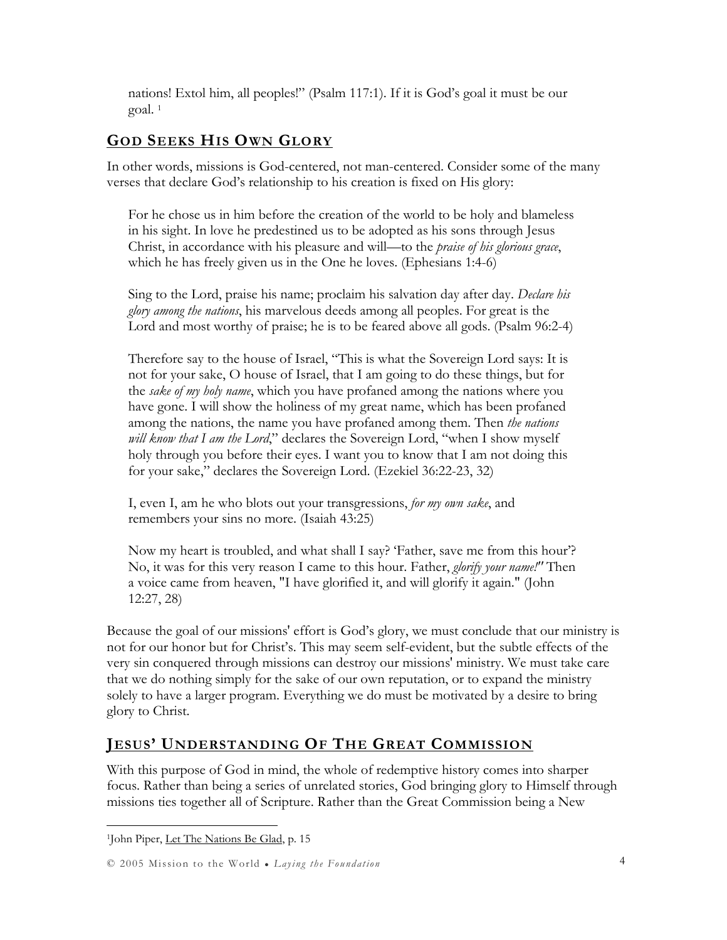nations! Extol him, all peoples!" (Psalm 117:1). If it is God's goal it must be our goal. <sup>1</sup>

### GOD SEEKS HIS OWN GLORY

In other words, missions is God-centered, not man-centered. Consider some of the many verses that declare God's relationship to his creation is fixed on His glory:

For he chose us in him before the creation of the world to be holy and blameless in his sight. In love he predestined us to be adopted as his sons through Jesus Christ, in accordance with his pleasure and will—to the *praise of his glorious grace*, which he has freely given us in the One he loves. (Ephesians 1:4-6)

Sing to the Lord, praise his name; proclaim his salvation day after day. Declare his *glory among the nations*, his marvelous deeds among all peoples. For great is the Lord and most worthy of praise; he is to be feared above all gods. (Psalm 96:2-4)

Therefore say to the house of Israel, "This is what the Sovereign Lord says: It is not for your sake, O house of Israel, that I am going to do these things, but for the sake of my holy name, which you have profaned among the nations where you have gone. I will show the holiness of my great name, which has been profaned among the nations, the name you have profaned among them. Then *the nations* will know that I am the Lord," declares the Sovereign Lord, "when I show myself holy through you before their eyes. I want you to know that I am not doing this for your sake," declares the Sovereign Lord. (Ezekiel 36:22-23, 32)

I, even I, am he who blots out your transgressions, for my own sake, and remembers your sins no more. (Isaiah 43:25)

Now my heart is troubled, and what shall I say? 'Father, save me from this hour'? No, it was for this very reason I came to this hour. Father, glorify your name!" Then a voice came from heaven, "I have glorified it, and will glorify it again." (John 12:27, 28)

Because the goal of our missions' effort is God's glory, we must conclude that our ministry is not for our honor but for Christ's. This may seem self-evident, but the subtle effects of the very sin conquered through missions can destroy our missions' ministry. We must take care that we do nothing simply for the sake of our own reputation, or to expand the ministry solely to have a larger program. Everything we do must be motivated by a desire to bring glory to Christ.

### JESUS' UNDERSTANDING OF THE GREAT COMMISSION

With this purpose of God in mind, the whole of redemptive history comes into sharper focus. Rather than being a series of unrelated stories, God bringing glory to Himself through missions ties together all of Scripture. Rather than the Great Commission being a New

<sup>&</sup>lt;sup>1</sup>John Piper, <u>Let The Nations Be Glad</u>, p. 15

<sup>© 2005</sup> Mission to the World ● Laying the Foundation 4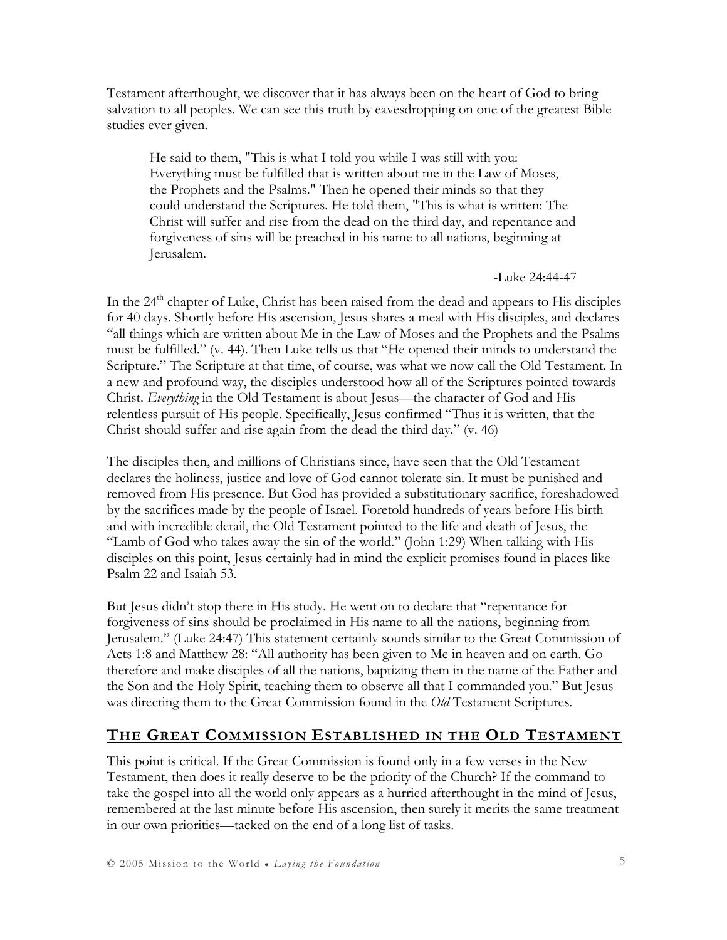Testament afterthought, we discover that it has always been on the heart of God to bring salvation to all peoples. We can see this truth by eavesdropping on one of the greatest Bible studies ever given.

He said to them, "This is what I told you while I was still with you: Everything must be fulfilled that is written about me in the Law of Moses, the Prophets and the Psalms." Then he opened their minds so that they could understand the Scriptures. He told them, "This is what is written: The Christ will suffer and rise from the dead on the third day, and repentance and forgiveness of sins will be preached in his name to all nations, beginning at Jerusalem.

#### -Luke 24:44-47

In the 24<sup>th</sup> chapter of Luke, Christ has been raised from the dead and appears to His disciples for 40 days. Shortly before His ascension, Jesus shares a meal with His disciples, and declares "all things which are written about Me in the Law of Moses and the Prophets and the Psalms must be fulfilled." (v. 44). Then Luke tells us that "He opened their minds to understand the Scripture." The Scripture at that time, of course, was what we now call the Old Testament. In a new and profound way, the disciples understood how all of the Scriptures pointed towards Christ. Everything in the Old Testament is about Jesus—the character of God and His relentless pursuit of His people. Specifically, Jesus confirmed "Thus it is written, that the Christ should suffer and rise again from the dead the third day." (v. 46)

The disciples then, and millions of Christians since, have seen that the Old Testament declares the holiness, justice and love of God cannot tolerate sin. It must be punished and removed from His presence. But God has provided a substitutionary sacrifice, foreshadowed by the sacrifices made by the people of Israel. Foretold hundreds of years before His birth and with incredible detail, the Old Testament pointed to the life and death of Jesus, the "Lamb of God who takes away the sin of the world." (John 1:29) When talking with His disciples on this point, Jesus certainly had in mind the explicit promises found in places like Psalm 22 and Isaiah 53.

But Jesus didn't stop there in His study. He went on to declare that "repentance for forgiveness of sins should be proclaimed in His name to all the nations, beginning from Jerusalem." (Luke 24:47) This statement certainly sounds similar to the Great Commission of Acts 1:8 and Matthew 28: "All authority has been given to Me in heaven and on earth. Go therefore and make disciples of all the nations, baptizing them in the name of the Father and the Son and the Holy Spirit, teaching them to observe all that I commanded you." But Jesus was directing them to the Great Commission found in the *Old* Testament Scriptures.

### THE GREAT COMMISSION ESTABLISHED IN THE OLD TESTAMENT

This point is critical. If the Great Commission is found only in a few verses in the New Testament, then does it really deserve to be the priority of the Church? If the command to take the gospel into all the world only appears as a hurried afterthought in the mind of Jesus, remembered at the last minute before His ascension, then surely it merits the same treatment in our own priorities—tacked on the end of a long list of tasks.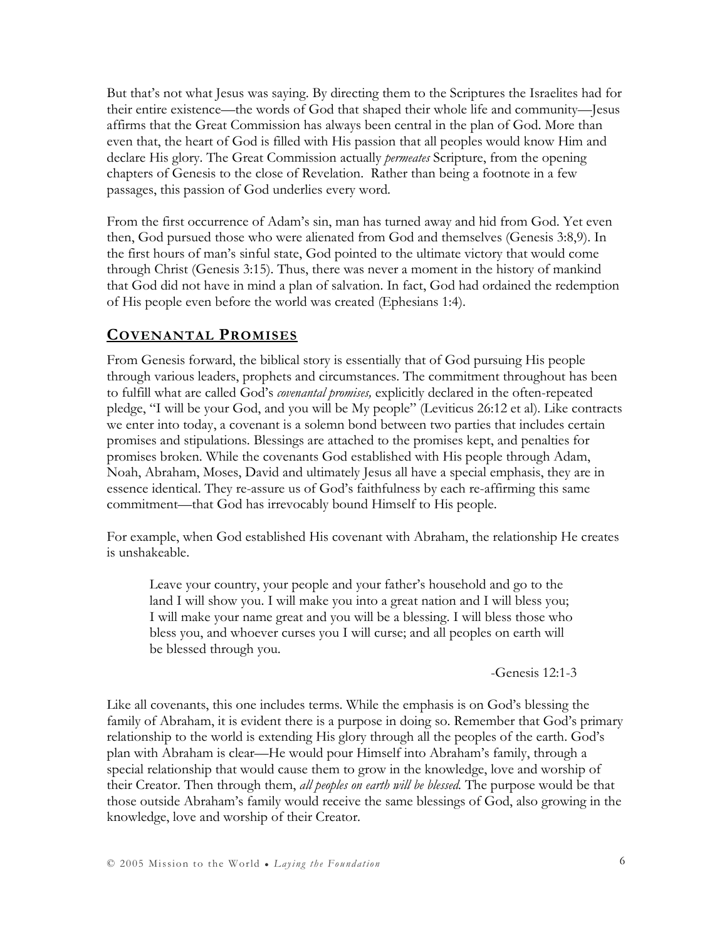But that's not what Jesus was saying. By directing them to the Scriptures the Israelites had for their entire existence—the words of God that shaped their whole life and community—Jesus affirms that the Great Commission has always been central in the plan of God. More than even that, the heart of God is filled with His passion that all peoples would know Him and declare His glory. The Great Commission actually *permeates* Scripture, from the opening chapters of Genesis to the close of Revelation. Rather than being a footnote in a few passages, this passion of God underlies every word.

From the first occurrence of Adam's sin, man has turned away and hid from God. Yet even then, God pursued those who were alienated from God and themselves (Genesis 3:8,9). In the first hours of man's sinful state, God pointed to the ultimate victory that would come through Christ (Genesis 3:15). Thus, there was never a moment in the history of mankind that God did not have in mind a plan of salvation. In fact, God had ordained the redemption of His people even before the world was created (Ephesians 1:4).

### COVENANTAL PROMISES

From Genesis forward, the biblical story is essentially that of God pursuing His people through various leaders, prophets and circumstances. The commitment throughout has been to fulfill what are called God's covenantal promises, explicitly declared in the often-repeated pledge, "I will be your God, and you will be My people" (Leviticus 26:12 et al). Like contracts we enter into today, a covenant is a solemn bond between two parties that includes certain promises and stipulations. Blessings are attached to the promises kept, and penalties for promises broken. While the covenants God established with His people through Adam, Noah, Abraham, Moses, David and ultimately Jesus all have a special emphasis, they are in essence identical. They re-assure us of God's faithfulness by each re-affirming this same commitment—that God has irrevocably bound Himself to His people.

For example, when God established His covenant with Abraham, the relationship He creates is unshakeable.

Leave your country, your people and your father's household and go to the land I will show you. I will make you into a great nation and I will bless you; I will make your name great and you will be a blessing. I will bless those who bless you, and whoever curses you I will curse; and all peoples on earth will be blessed through you.

#### -Genesis 12:1-3

Like all covenants, this one includes terms. While the emphasis is on God's blessing the family of Abraham, it is evident there is a purpose in doing so. Remember that God's primary relationship to the world is extending His glory through all the peoples of the earth. God's plan with Abraham is clear—He would pour Himself into Abraham's family, through a special relationship that would cause them to grow in the knowledge, love and worship of their Creator. Then through them, all peoples on earth will be blessed. The purpose would be that those outside Abraham's family would receive the same blessings of God, also growing in the knowledge, love and worship of their Creator.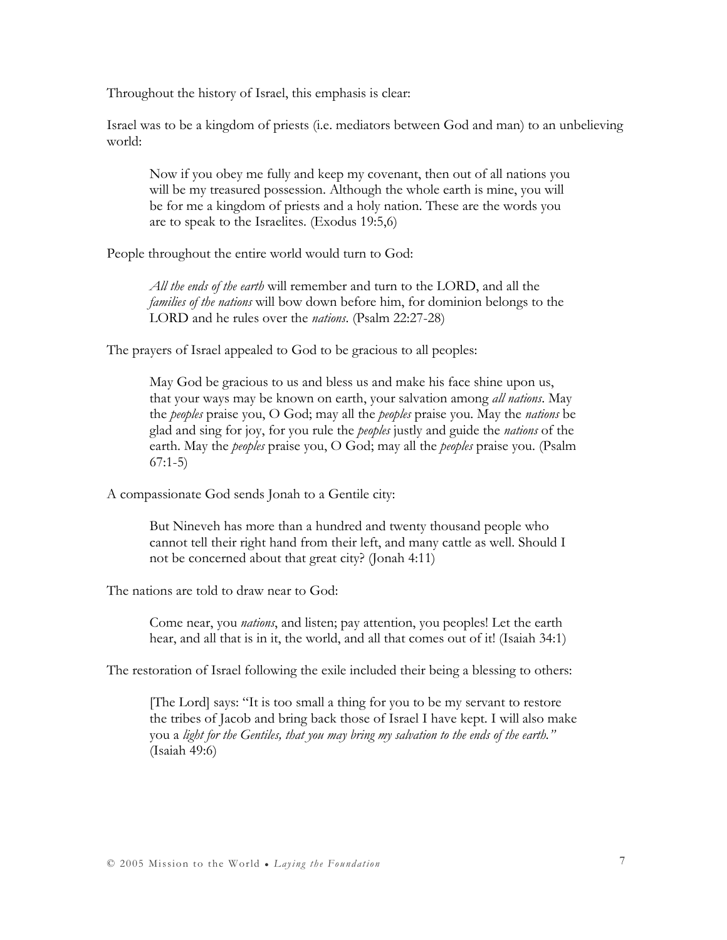Throughout the history of Israel, this emphasis is clear:

Israel was to be a kingdom of priests (i.e. mediators between God and man) to an unbelieving world:

Now if you obey me fully and keep my covenant, then out of all nations you will be my treasured possession. Although the whole earth is mine, you will be for me a kingdom of priests and a holy nation. These are the words you are to speak to the Israelites. (Exodus 19:5,6)

People throughout the entire world would turn to God:

All the ends of the earth will remember and turn to the LORD, and all the families of the nations will bow down before him, for dominion belongs to the LORD and he rules over the nations. (Psalm 22:27-28)

The prayers of Israel appealed to God to be gracious to all peoples:

May God be gracious to us and bless us and make his face shine upon us, that your ways may be known on earth, your salvation among all nations. May the *peoples* praise you, O God; may all the *peoples* praise you. May the *nations* be glad and sing for joy, for you rule the *peoples* justly and guide the *nations* of the earth. May the *peoples* praise you, O God; may all the *peoples* praise you. (Psalm 67:1-5)

A compassionate God sends Jonah to a Gentile city:

But Nineveh has more than a hundred and twenty thousand people who cannot tell their right hand from their left, and many cattle as well. Should I not be concerned about that great city? (Jonah 4:11)

The nations are told to draw near to God:

Come near, you *nations*, and listen; pay attention, you peoples! Let the earth hear, and all that is in it, the world, and all that comes out of it! (Isaiah 34:1)

The restoration of Israel following the exile included their being a blessing to others:

[The Lord] says: "It is too small a thing for you to be my servant to restore the tribes of Jacob and bring back those of Israel I have kept. I will also make you a light for the Gentiles, that you may bring my salvation to the ends of the earth." (Isaiah 49:6)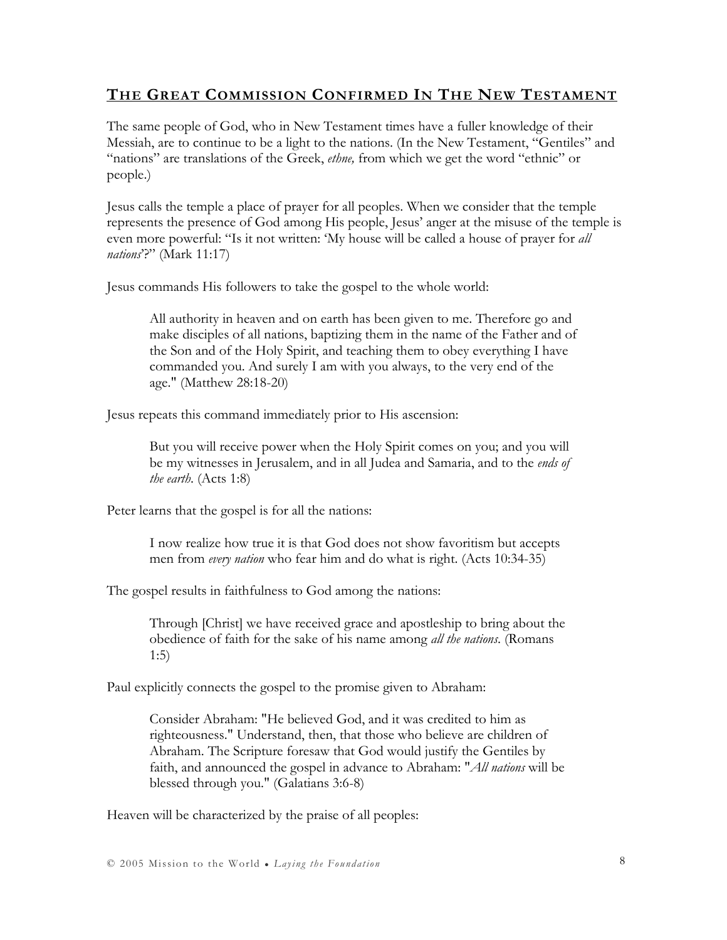### THE GREAT COMMISSION CONFIRMED IN THE NEW TESTAMENT

The same people of God, who in New Testament times have a fuller knowledge of their Messiah, are to continue to be a light to the nations. (In the New Testament, "Gentiles" and "nations" are translations of the Greek, *ethne*, from which we get the word "ethnic" or people.)

Jesus calls the temple a place of prayer for all peoples. When we consider that the temple represents the presence of God among His people, Jesus' anger at the misuse of the temple is even more powerful: "Is it not written: 'My house will be called a house of prayer for all nations<sup>2</sup>?" (Mark 11:17)

Jesus commands His followers to take the gospel to the whole world:

All authority in heaven and on earth has been given to me. Therefore go and make disciples of all nations, baptizing them in the name of the Father and of the Son and of the Holy Spirit, and teaching them to obey everything I have commanded you. And surely I am with you always, to the very end of the age." (Matthew 28:18-20)

Jesus repeats this command immediately prior to His ascension:

But you will receive power when the Holy Spirit comes on you; and you will be my witnesses in Jerusalem, and in all Judea and Samaria, and to the ends of the earth. (Acts 1:8)

Peter learns that the gospel is for all the nations:

I now realize how true it is that God does not show favoritism but accepts men from every nation who fear him and do what is right. (Acts 10:34-35)

The gospel results in faithfulness to God among the nations:

Through [Christ] we have received grace and apostleship to bring about the obedience of faith for the sake of his name among all the nations. (Romans 1:5)

Paul explicitly connects the gospel to the promise given to Abraham:

Consider Abraham: "He believed God, and it was credited to him as righteousness." Understand, then, that those who believe are children of Abraham. The Scripture foresaw that God would justify the Gentiles by faith, and announced the gospel in advance to Abraham: "*All nations* will be blessed through you." (Galatians 3:6-8)

Heaven will be characterized by the praise of all peoples: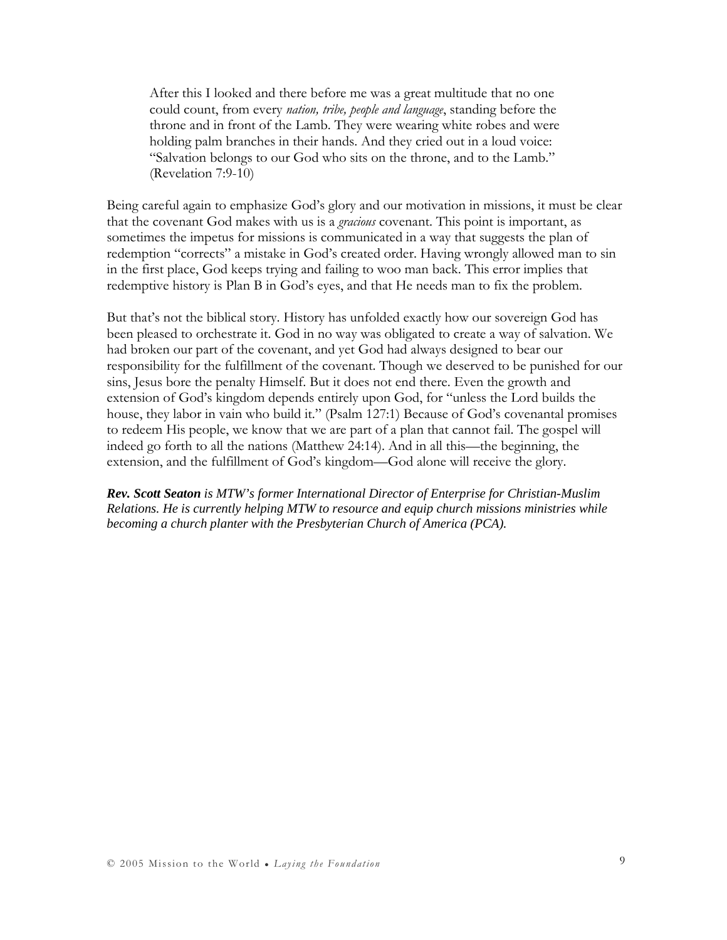After this I looked and there before me was a great multitude that no one could count, from every nation, tribe, people and language, standing before the throne and in front of the Lamb. They were wearing white robes and were holding palm branches in their hands. And they cried out in a loud voice: "Salvation belongs to our God who sits on the throne, and to the Lamb." (Revelation 7:9-10)

Being careful again to emphasize God's glory and our motivation in missions, it must be clear that the covenant God makes with us is a *gracious* covenant. This point is important, as sometimes the impetus for missions is communicated in a way that suggests the plan of redemption "corrects" a mistake in God's created order. Having wrongly allowed man to sin in the first place, God keeps trying and failing to woo man back. This error implies that redemptive history is Plan B in God's eyes, and that He needs man to fix the problem.

But that's not the biblical story. History has unfolded exactly how our sovereign God has been pleased to orchestrate it. God in no way was obligated to create a way of salvation. We had broken our part of the covenant, and yet God had always designed to bear our responsibility for the fulfillment of the covenant. Though we deserved to be punished for our sins, Jesus bore the penalty Himself. But it does not end there. Even the growth and extension of God's kingdom depends entirely upon God, for "unless the Lord builds the house, they labor in vain who build it." (Psalm 127:1) Because of God's covenantal promises to redeem His people, we know that we are part of a plan that cannot fail. The gospel will indeed go forth to all the nations (Matthew 24:14). And in all this—the beginning, the extension, and the fulfillment of God's kingdom—God alone will receive the glory.

*Rev. Scott Seaton is MTW's former International Director of Enterprise for Christian-Muslim Relations. He is currently helping MTW to resource and equip church missions ministries while becoming a church planter with the Presbyterian Church of America (PCA).*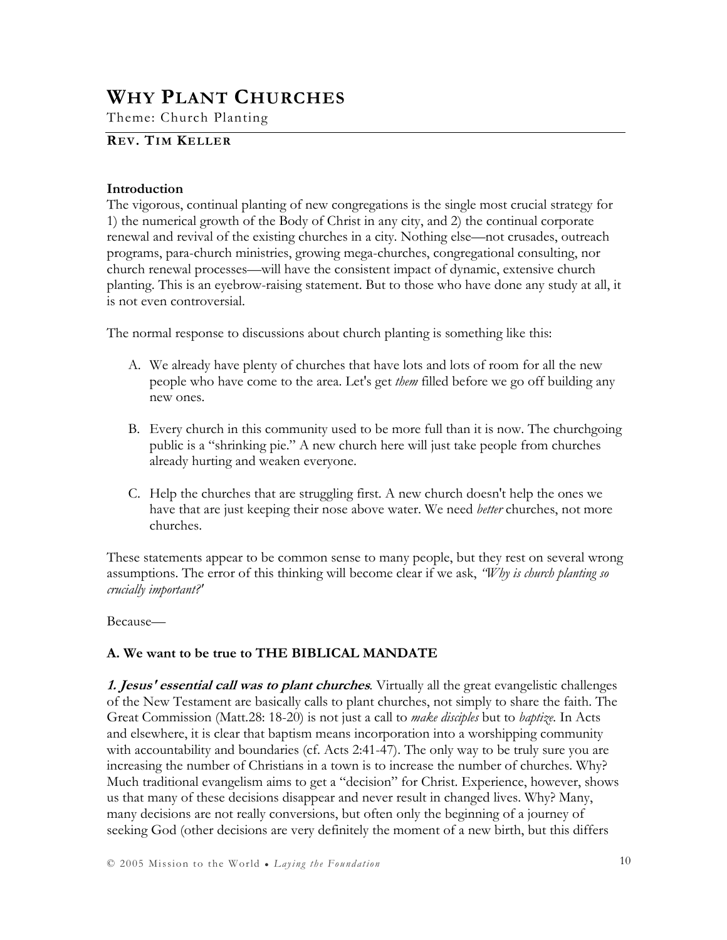## WHY PLANT CHURCHES

Theme: Church Planting

### REV. TIM KELLER

#### Introduction

The vigorous, continual planting of new congregations is the single most crucial strategy for 1) the numerical growth of the Body of Christ in any city, and 2) the continual corporate renewal and revival of the existing churches in a city. Nothing else—not crusades, outreach programs, para-church ministries, growing mega-churches, congregational consulting, nor church renewal processes—will have the consistent impact of dynamic, extensive church planting. This is an eyebrow-raising statement. But to those who have done any study at all, it is not even controversial.

The normal response to discussions about church planting is something like this:

- A. We already have plenty of churches that have lots and lots of room for all the new people who have come to the area. Let's get *them* filled before we go off building any new ones.
- B. Every church in this community used to be more full than it is now. The churchgoing public is a "shrinking pie." A new church here will just take people from churches already hurting and weaken everyone.
- C. Help the churches that are struggling first. A new church doesn't help the ones we have that are just keeping their nose above water. We need *better* churches, not more churches.

These statements appear to be common sense to many people, but they rest on several wrong assumptions. The error of this thinking will become clear if we ask, "Why is church planting so crucially important?'

Because—

#### A. We want to be true to THE BIBLICAL MANDATE

1. Jesus' essential call was to plant churches. Virtually all the great evangelistic challenges of the New Testament are basically calls to plant churches, not simply to share the faith. The Great Commission (Matt.28: 18-20) is not just a call to *make disciples* but to *baptize*. In Acts and elsewhere, it is clear that baptism means incorporation into a worshipping community with accountability and boundaries (cf. Acts 2:41-47). The only way to be truly sure you are increasing the number of Christians in a town is to increase the number of churches. Why? Much traditional evangelism aims to get a "decision" for Christ. Experience, however, shows us that many of these decisions disappear and never result in changed lives. Why? Many, many decisions are not really conversions, but often only the beginning of a journey of seeking God (other decisions are very definitely the moment of a new birth, but this differs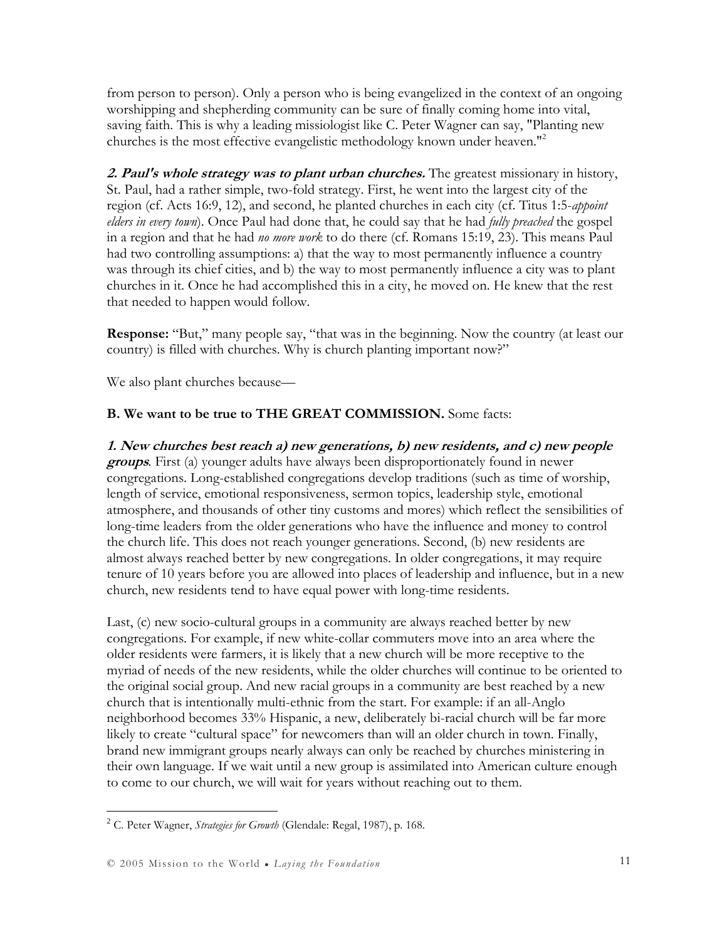from person to person). Only a person who is being evangelized in the context of an ongoing worshipping and shepherding community can be sure of finally coming home into vital, saving faith. This is why a leading missiologist like C. Peter Wagner can say, "Planting new churches is the most effective evangelistic methodology known under heaven."<sup>2</sup>

2. Paul's whole strategy was to plant urban churches. The greatest missionary in history, St. Paul, had a rather simple, two-fold strategy. First, he went into the largest city of the region (cf. Acts 16:9, 12), and second, he planted churches in each city (cf. Titus 1:5-appoint elders in every town). Once Paul had done that, he could say that he had fully preached the gospel in a region and that he had no more work to do there (cf. Romans 15:19, 23). This means Paul had two controlling assumptions: a) that the way to most permanently influence a country was through its chief cities, and b) the way to most permanently influence a city was to plant churches in it. Once he had accomplished this in a city, he moved on. He knew that the rest that needed to happen would follow.

Response: "But," many people say, "that was in the beginning. Now the country (at least our country) is filled with churches. Why is church planting important now?"

We also plant churches because—

### B. We want to be true to THE GREAT COMMISSION. Some facts:

1. New churches best reach a) new generations, b) new residents, and c) new people groups. First (a) younger adults have always been disproportionately found in newer congregations. Long-established congregations develop traditions (such as time of worship, length of service, emotional responsiveness, sermon topics, leadership style, emotional atmosphere, and thousands of other tiny customs and mores) which reflect the sensibilities of long-time leaders from the older generations who have the influence and money to control the church life. This does not reach younger generations. Second, (b) new residents are almost always reached better by new congregations. In older congregations, it may require tenure of 10 years before you are allowed into places of leadership and influence, but in a new church, new residents tend to have equal power with long-time residents.

Last, (c) new socio-cultural groups in a community are always reached better by new congregations. For example, if new white-collar commuters move into an area where the older residents were farmers, it is likely that a new church will be more receptive to the myriad of needs of the new residents, while the older churches will continue to be oriented to the original social group. And new racial groups in a community are best reached by a new church that is intentionally multi-ethnic from the start. For example: if an all-Anglo neighborhood becomes 33% Hispanic, a new, deliberately bi-racial church will be far more likely to create "cultural space" for newcomers than will an older church in town. Finally, brand new immigrant groups nearly always can only be reached by churches ministering in their own language. If we wait until a new group is assimilated into American culture enough to come to our church, we will wait for years without reaching out to them.

<sup>&</sup>lt;sup>2</sup> C. Peter Wagner, *Strategies for Growth* (Glendale: Regal, 1987), p. 168.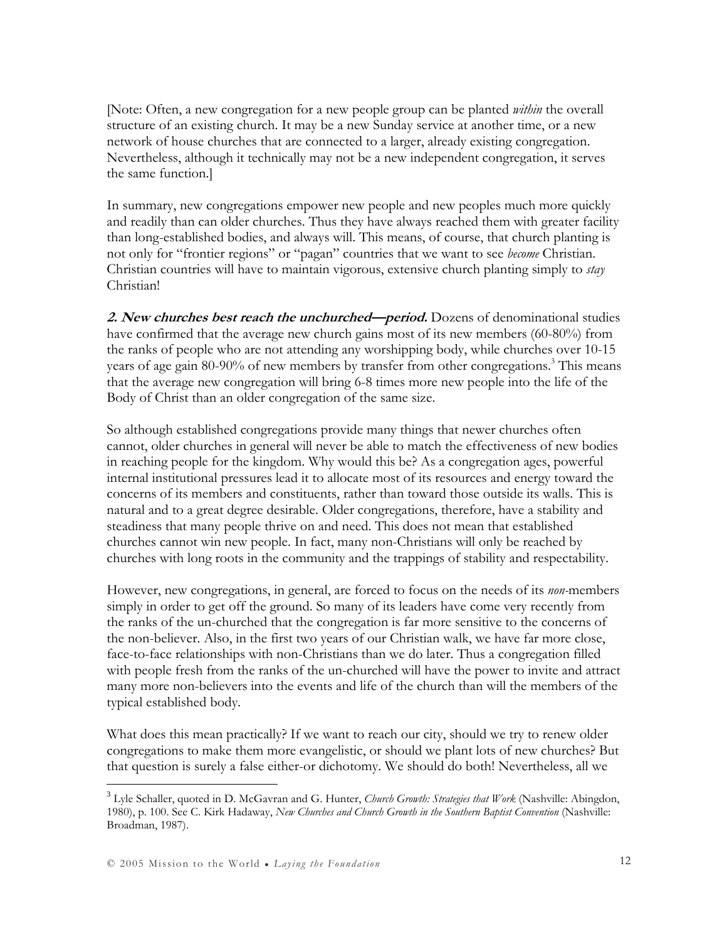[Note: Often, a new congregation for a new people group can be planted *within* the overall structure of an existing church. It may be a new Sunday service at another time, or a new network of house churches that are connected to a larger, already existing congregation. Nevertheless, although it technically may not be a new independent congregation, it serves the same function.]

In summary, new congregations empower new people and new peoples much more quickly and readily than can older churches. Thus they have always reached them with greater facility than long-established bodies, and always will. This means, of course, that church planting is not only for "frontier regions" or "pagan" countries that we want to see become Christian. Christian countries will have to maintain vigorous, extensive church planting simply to stay Christian!

2. New churches best reach the unchurched—period. Dozens of denominational studies have confirmed that the average new church gains most of its new members (60-80%) from the ranks of people who are not attending any worshipping body, while churches over 10-15 years of age gain 80-90% of new members by transfer from other congregations.<sup>3</sup> This means that the average new congregation will bring 6-8 times more new people into the life of the Body of Christ than an older congregation of the same size.

So although established congregations provide many things that newer churches often cannot, older churches in general will never be able to match the effectiveness of new bodies in reaching people for the kingdom. Why would this be? As a congregation ages, powerful internal institutional pressures lead it to allocate most of its resources and energy toward the concerns of its members and constituents, rather than toward those outside its walls. This is natural and to a great degree desirable. Older congregations, therefore, have a stability and steadiness that many people thrive on and need. This does not mean that established churches cannot win new people. In fact, many non-Christians will only be reached by churches with long roots in the community and the trappings of stability and respectability.

However, new congregations, in general, are forced to focus on the needs of its *non*-members simply in order to get off the ground. So many of its leaders have come very recently from the ranks of the un-churched that the congregation is far more sensitive to the concerns of the non-believer. Also, in the first two years of our Christian walk, we have far more close, face-to-face relationships with non-Christians than we do later. Thus a congregation filled with people fresh from the ranks of the un-churched will have the power to invite and attract many more non-believers into the events and life of the church than will the members of the typical established body.

What does this mean practically? If we want to reach our city, should we try to renew older congregations to make them more evangelistic, or should we plant lots of new churches? But that question is surely a false either-or dichotomy. We should do both! Nevertheless, all we

 $^3$  Lyle Schaller, quoted in D. McGavran and G. Hunter, Church Growth: Strategies that Work (Nashville: Abingdon, 1980), p. 100. See C. Kirk Hadaway, New Churches and Church Growth in the Southern Baptist Convention (Nashville: Broadman, 1987).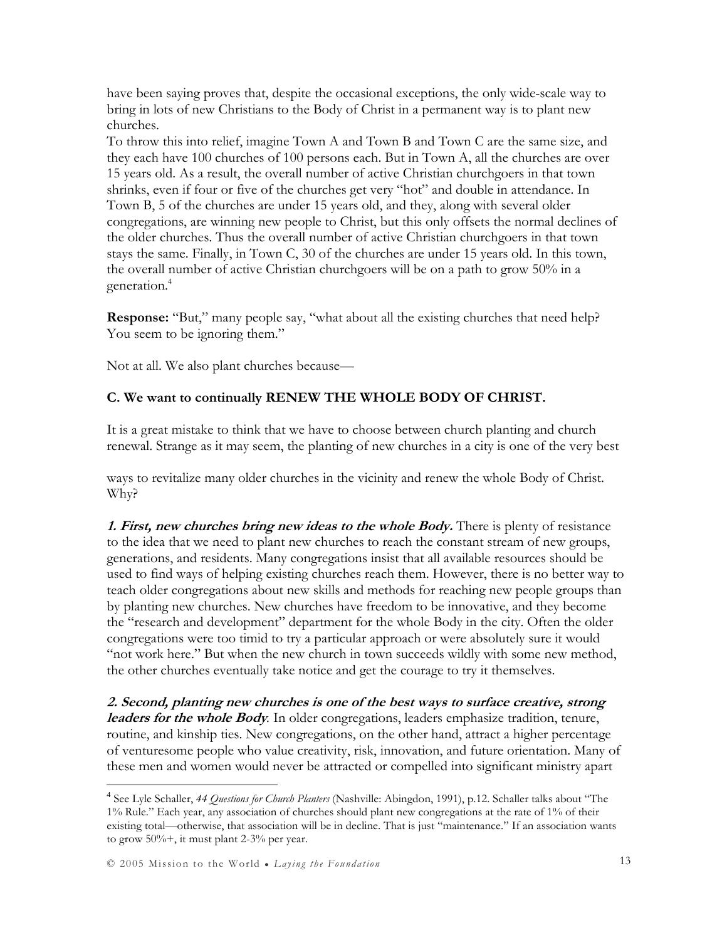have been saying proves that, despite the occasional exceptions, the only wide-scale way to bring in lots of new Christians to the Body of Christ in a permanent way is to plant new churches.

To throw this into relief, imagine Town A and Town B and Town C are the same size, and they each have 100 churches of 100 persons each. But in Town A, all the churches are over 15 years old. As a result, the overall number of active Christian churchgoers in that town shrinks, even if four or five of the churches get very "hot" and double in attendance. In Town B, 5 of the churches are under 15 years old, and they, along with several older congregations, are winning new people to Christ, but this only offsets the normal declines of the older churches. Thus the overall number of active Christian churchgoers in that town stays the same. Finally, in Town C, 30 of the churches are under 15 years old. In this town, the overall number of active Christian churchgoers will be on a path to grow 50% in a generation.<sup>4</sup>

Response: "But," many people say, "what about all the existing churches that need help? You seem to be ignoring them."

Not at all. We also plant churches because—

#### C. We want to continually RENEW THE WHOLE BODY OF CHRIST.

It is a great mistake to think that we have to choose between church planting and church renewal. Strange as it may seem, the planting of new churches in a city is one of the very best

ways to revitalize many older churches in the vicinity and renew the whole Body of Christ. Why?

1. First, new churches bring new ideas to the whole Body. There is plenty of resistance to the idea that we need to plant new churches to reach the constant stream of new groups, generations, and residents. Many congregations insist that all available resources should be used to find ways of helping existing churches reach them. However, there is no better way to teach older congregations about new skills and methods for reaching new people groups than by planting new churches. New churches have freedom to be innovative, and they become the "research and development" department for the whole Body in the city. Often the older congregations were too timid to try a particular approach or were absolutely sure it would "not work here." But when the new church in town succeeds wildly with some new method, the other churches eventually take notice and get the courage to try it themselves.

2. Second, planting new churches is one of the best ways to surface creative, strong leaders for the whole Body. In older congregations, leaders emphasize tradition, tenure, routine, and kinship ties. New congregations, on the other hand, attract a higher percentage of venturesome people who value creativity, risk, innovation, and future orientation. Many of these men and women would never be attracted or compelled into significant ministry apart

<sup>&</sup>lt;sup>4</sup> See Lyle Schaller, 44 Questions for Church Planters (Nashville: Abingdon, 1991), p.12. Schaller talks about "The 1% Rule." Each year, any association of churches should plant new congregations at the rate of 1% of their existing total—otherwise, that association will be in decline. That is just "maintenance." If an association wants to grow  $50\%$  +, it must plant 2-3% per year.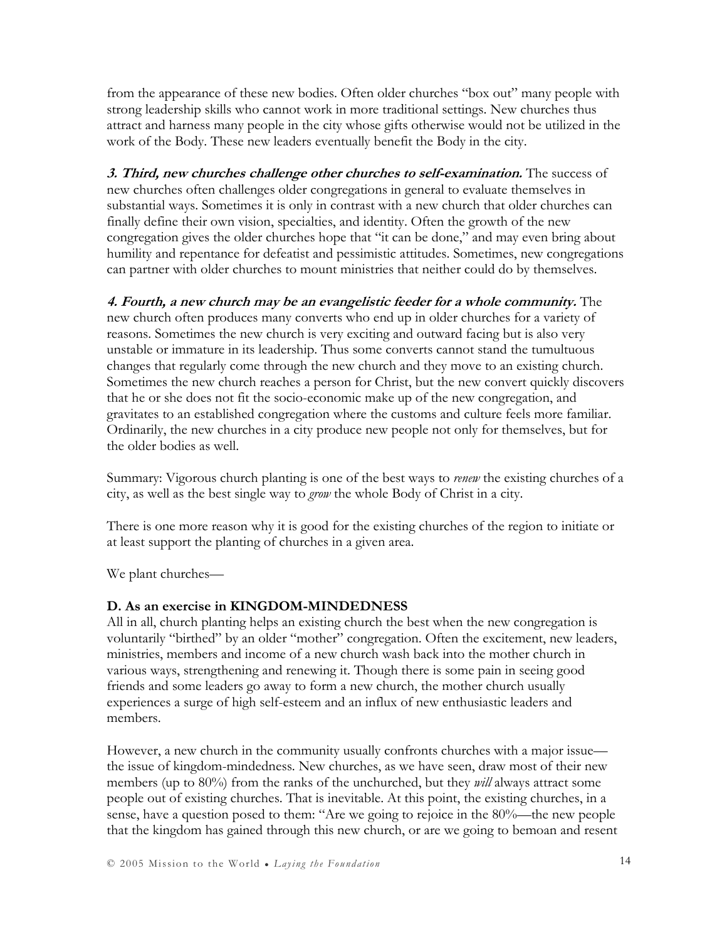from the appearance of these new bodies. Often older churches "box out" many people with strong leadership skills who cannot work in more traditional settings. New churches thus attract and harness many people in the city whose gifts otherwise would not be utilized in the work of the Body. These new leaders eventually benefit the Body in the city.

3. Third, new churches challenge other churches to self-examination. The success of new churches often challenges older congregations in general to evaluate themselves in substantial ways. Sometimes it is only in contrast with a new church that older churches can finally define their own vision, specialties, and identity. Often the growth of the new congregation gives the older churches hope that "it can be done," and may even bring about humility and repentance for defeatist and pessimistic attitudes. Sometimes, new congregations can partner with older churches to mount ministries that neither could do by themselves.

4. Fourth, a new church may be an evangelistic feeder for a whole community. The new church often produces many converts who end up in older churches for a variety of reasons. Sometimes the new church is very exciting and outward facing but is also very unstable or immature in its leadership. Thus some converts cannot stand the tumultuous changes that regularly come through the new church and they move to an existing church. Sometimes the new church reaches a person for Christ, but the new convert quickly discovers that he or she does not fit the socio-economic make up of the new congregation, and gravitates to an established congregation where the customs and culture feels more familiar. Ordinarily, the new churches in a city produce new people not only for themselves, but for the older bodies as well.

Summary: Vigorous church planting is one of the best ways to *renew* the existing churches of a city, as well as the best single way to grow the whole Body of Christ in a city.

There is one more reason why it is good for the existing churches of the region to initiate or at least support the planting of churches in a given area.

We plant churches—

#### D. As an exercise in KINGDOM-MINDEDNESS

All in all, church planting helps an existing church the best when the new congregation is voluntarily "birthed" by an older "mother" congregation. Often the excitement, new leaders, ministries, members and income of a new church wash back into the mother church in various ways, strengthening and renewing it. Though there is some pain in seeing good friends and some leaders go away to form a new church, the mother church usually experiences a surge of high self-esteem and an influx of new enthusiastic leaders and members.

However, a new church in the community usually confronts churches with a major issue the issue of kingdom-mindedness. New churches, as we have seen, draw most of their new members (up to 80%) from the ranks of the unchurched, but they *will* always attract some people out of existing churches. That is inevitable. At this point, the existing churches, in a sense, have a question posed to them: "Are we going to rejoice in the 80%—the new people that the kingdom has gained through this new church, or are we going to bemoan and resent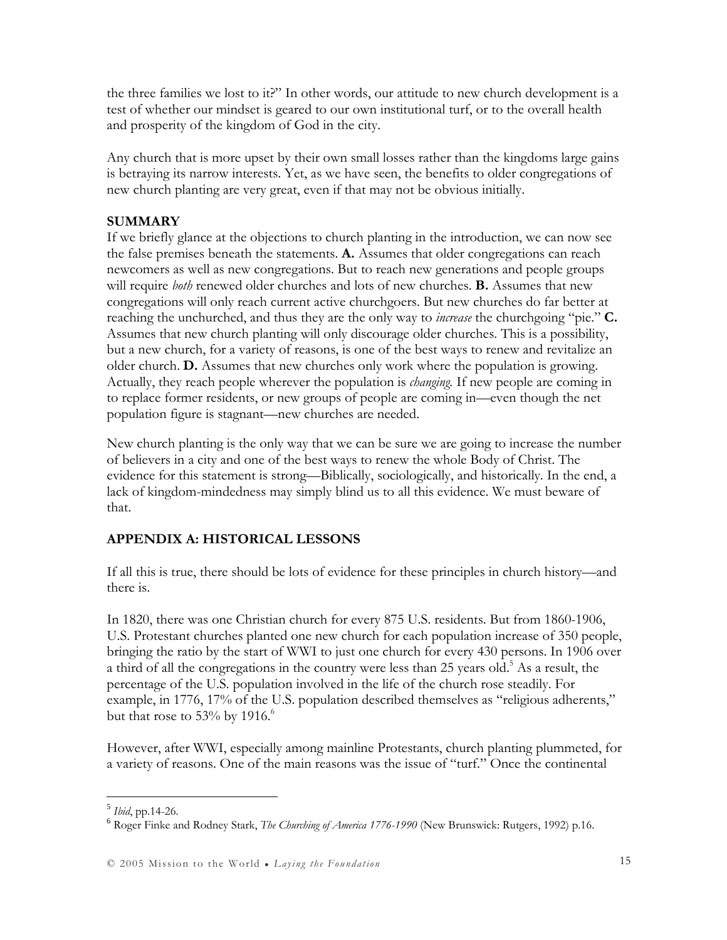the three families we lost to it?" In other words, our attitude to new church development is a test of whether our mindset is geared to our own institutional turf, or to the overall health and prosperity of the kingdom of God in the city.

Any church that is more upset by their own small losses rather than the kingdoms large gains is betraying its narrow interests. Yet, as we have seen, the benefits to older congregations of new church planting are very great, even if that may not be obvious initially.

#### **SUMMARY**

If we briefly glance at the objections to church planting in the introduction, we can now see the false premises beneath the statements. A. Assumes that older congregations can reach newcomers as well as new congregations. But to reach new generations and people groups will require *both* renewed older churches and lots of new churches. **B.** Assumes that new congregations will only reach current active churchgoers. But new churches do far better at reaching the unchurched, and thus they are the only way to *increase* the churchgoing "pie." **C.** Assumes that new church planting will only discourage older churches. This is a possibility, but a new church, for a variety of reasons, is one of the best ways to renew and revitalize an older church. D. Assumes that new churches only work where the population is growing. Actually, they reach people wherever the population is *changing*. If new people are coming in to replace former residents, or new groups of people are coming in—even though the net population figure is stagnant—new churches are needed.

New church planting is the only way that we can be sure we are going to increase the number of believers in a city and one of the best ways to renew the whole Body of Christ. The evidence for this statement is strong—Biblically, sociologically, and historically. In the end, a lack of kingdom-mindedness may simply blind us to all this evidence. We must beware of that.

### APPENDIX A: HISTORICAL LESSONS

If all this is true, there should be lots of evidence for these principles in church history—and there is.

In 1820, there was one Christian church for every 875 U.S. residents. But from 1860-1906, U.S. Protestant churches planted one new church for each population increase of 350 people, bringing the ratio by the start of WWI to just one church for every 430 persons. In 1906 over a third of all the congregations in the country were less than 25 years old.<sup>5</sup> As a result, the percentage of the U.S. population involved in the life of the church rose steadily. For example, in 1776, 17% of the U.S. population described themselves as "religious adherents," but that rose to 53% by 1916. $6$ 

However, after WWI, especially among mainline Protestants, church planting plummeted, for a variety of reasons. One of the main reasons was the issue of "turf." Once the continental

<sup>&</sup>lt;sup>5</sup> Ibid, pp.14-26.

<sup>&</sup>lt;sup>6</sup> Roger Finke and Rodney Stark, *The Churching of America 1776-1990* (New Brunswick: Rutgers, 1992) p.16.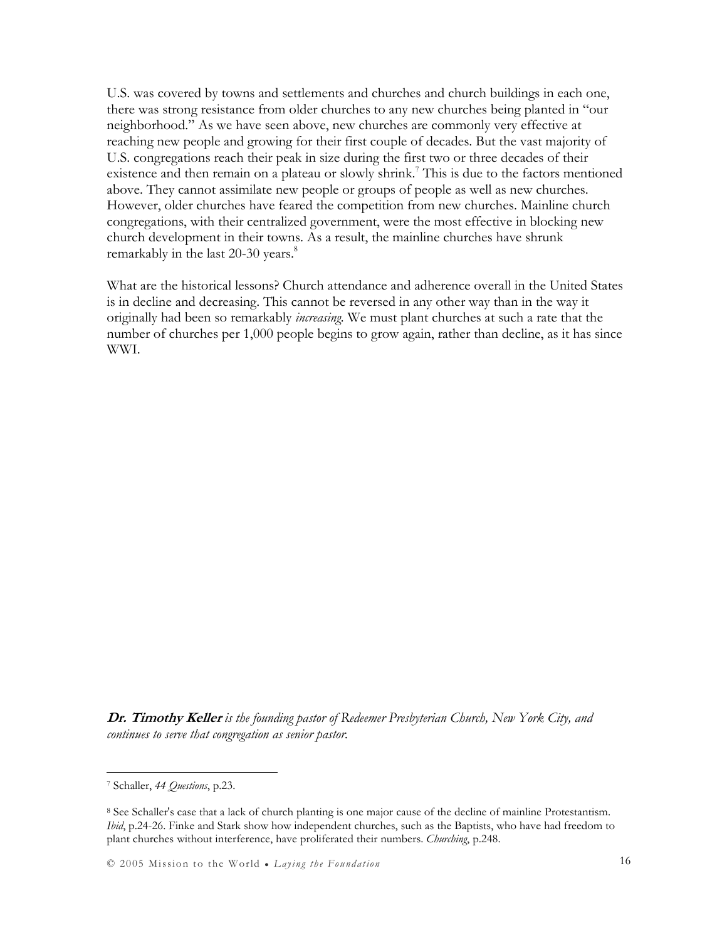U.S. was covered by towns and settlements and churches and church buildings in each one, there was strong resistance from older churches to any new churches being planted in "our neighborhood." As we have seen above, new churches are commonly very effective at reaching new people and growing for their first couple of decades. But the vast majority of U.S. congregations reach their peak in size during the first two or three decades of their existence and then remain on a plateau or slowly shrink.<sup>7</sup> This is due to the factors mentioned above. They cannot assimilate new people or groups of people as well as new churches. However, older churches have feared the competition from new churches. Mainline church congregations, with their centralized government, were the most effective in blocking new church development in their towns. As a result, the mainline churches have shrunk remarkably in the last  $20-30$  years.<sup>8</sup>

What are the historical lessons? Church attendance and adherence overall in the United States is in decline and decreasing. This cannot be reversed in any other way than in the way it originally had been so remarkably increasing. We must plant churches at such a rate that the number of churches per 1,000 people begins to grow again, rather than decline, as it has since WWI.

Dr. Timothy Keller is the founding pastor of Redeemer Presbyterian Church, New York City, and continues to serve that congregation as senior pastor.

 $\overline{a}$ 

© 2005 Mission to the World ● Laying the Foundation 16

<sup>&</sup>lt;sup>7</sup> Schaller, 44 Questions, p.23.

<sup>8</sup> See Schaller's case that a lack of church planting is one major cause of the decline of mainline Protestantism. Ibid, p.24-26. Finke and Stark show how independent churches, such as the Baptists, who have had freedom to plant churches without interference, have proliferated their numbers. *Churching*, p.248.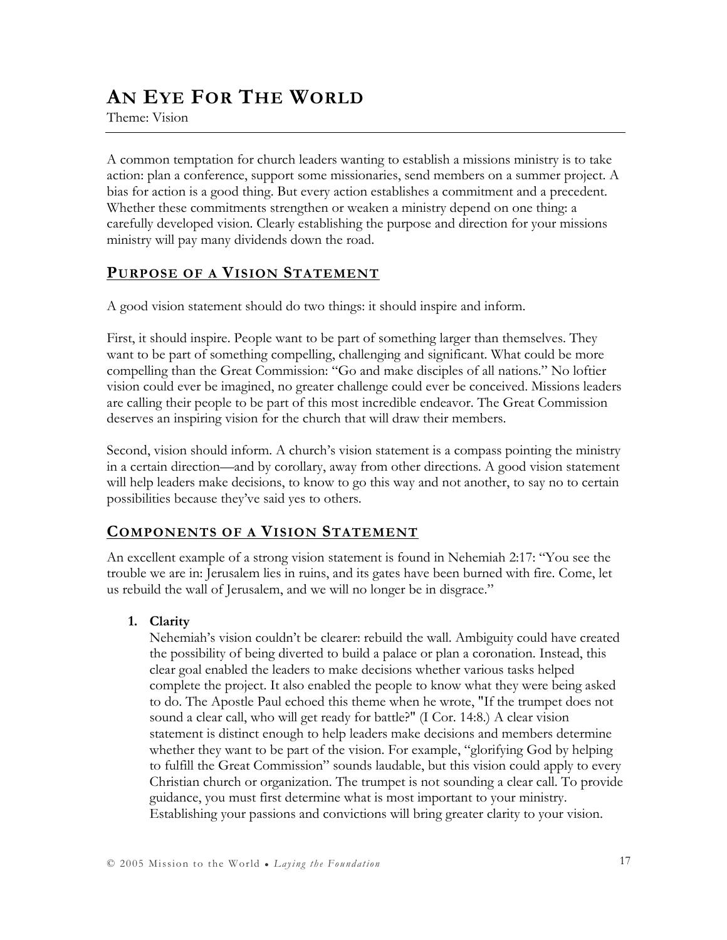## AN EYE FOR THE WORLD

Theme: Vision

A common temptation for church leaders wanting to establish a missions ministry is to take action: plan a conference, support some missionaries, send members on a summer project. A bias for action is a good thing. But every action establishes a commitment and a precedent. Whether these commitments strengthen or weaken a ministry depend on one thing: a carefully developed vision. Clearly establishing the purpose and direction for your missions ministry will pay many dividends down the road.

### PURPOSE OF A VISION STATEMENT

A good vision statement should do two things: it should inspire and inform.

First, it should inspire. People want to be part of something larger than themselves. They want to be part of something compelling, challenging and significant. What could be more compelling than the Great Commission: "Go and make disciples of all nations." No loftier vision could ever be imagined, no greater challenge could ever be conceived. Missions leaders are calling their people to be part of this most incredible endeavor. The Great Commission deserves an inspiring vision for the church that will draw their members.

Second, vision should inform. A church's vision statement is a compass pointing the ministry in a certain direction—and by corollary, away from other directions. A good vision statement will help leaders make decisions, to know to go this way and not another, to say no to certain possibilities because they've said yes to others.

### COMPONENTS OF A VISION STATEMENT

An excellent example of a strong vision statement is found in Nehemiah 2:17: "You see the trouble we are in: Jerusalem lies in ruins, and its gates have been burned with fire. Come, let us rebuild the wall of Jerusalem, and we will no longer be in disgrace."

### 1. Clarity

Nehemiah's vision couldn't be clearer: rebuild the wall. Ambiguity could have created the possibility of being diverted to build a palace or plan a coronation. Instead, this clear goal enabled the leaders to make decisions whether various tasks helped complete the project. It also enabled the people to know what they were being asked to do. The Apostle Paul echoed this theme when he wrote, "If the trumpet does not sound a clear call, who will get ready for battle?" (I Cor. 14:8.) A clear vision statement is distinct enough to help leaders make decisions and members determine whether they want to be part of the vision. For example, "glorifying God by helping to fulfill the Great Commission" sounds laudable, but this vision could apply to every Christian church or organization. The trumpet is not sounding a clear call. To provide guidance, you must first determine what is most important to your ministry. Establishing your passions and convictions will bring greater clarity to your vision.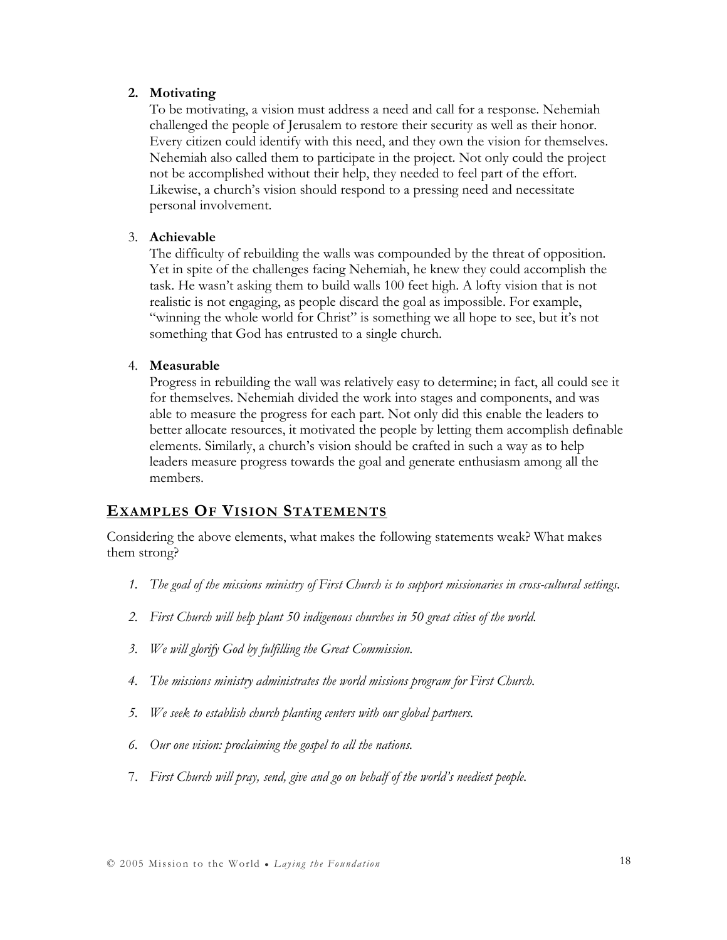#### 2. Motivating

To be motivating, a vision must address a need and call for a response. Nehemiah challenged the people of Jerusalem to restore their security as well as their honor. Every citizen could identify with this need, and they own the vision for themselves. Nehemiah also called them to participate in the project. Not only could the project not be accomplished without their help, they needed to feel part of the effort. Likewise, a church's vision should respond to a pressing need and necessitate personal involvement.

#### 3. Achievable

The difficulty of rebuilding the walls was compounded by the threat of opposition. Yet in spite of the challenges facing Nehemiah, he knew they could accomplish the task. He wasn't asking them to build walls 100 feet high. A lofty vision that is not realistic is not engaging, as people discard the goal as impossible. For example, "winning the whole world for Christ" is something we all hope to see, but it's not something that God has entrusted to a single church.

#### 4. Measurable

Progress in rebuilding the wall was relatively easy to determine; in fact, all could see it for themselves. Nehemiah divided the work into stages and components, and was able to measure the progress for each part. Not only did this enable the leaders to better allocate resources, it motivated the people by letting them accomplish definable elements. Similarly, a church's vision should be crafted in such a way as to help leaders measure progress towards the goal and generate enthusiasm among all the members.

### EXAMPLES OF VISION STATEMENTS

Considering the above elements, what makes the following statements weak? What makes them strong?

- 1. The goal of the missions ministry of First Church is to support missionaries in cross-cultural settings.
- 2. First Church will help plant 50 indigenous churches in 50 great cities of the world.
- 3. We will glorify God by fulfilling the Great Commission.
- 4. The missions ministry administrates the world missions program for First Church.
- 5. We seek to establish church planting centers with our global partners.
- 6. Our one vision: proclaiming the gospel to all the nations.
- 7. First Church will pray, send, give and go on behalf of the world's neediest people.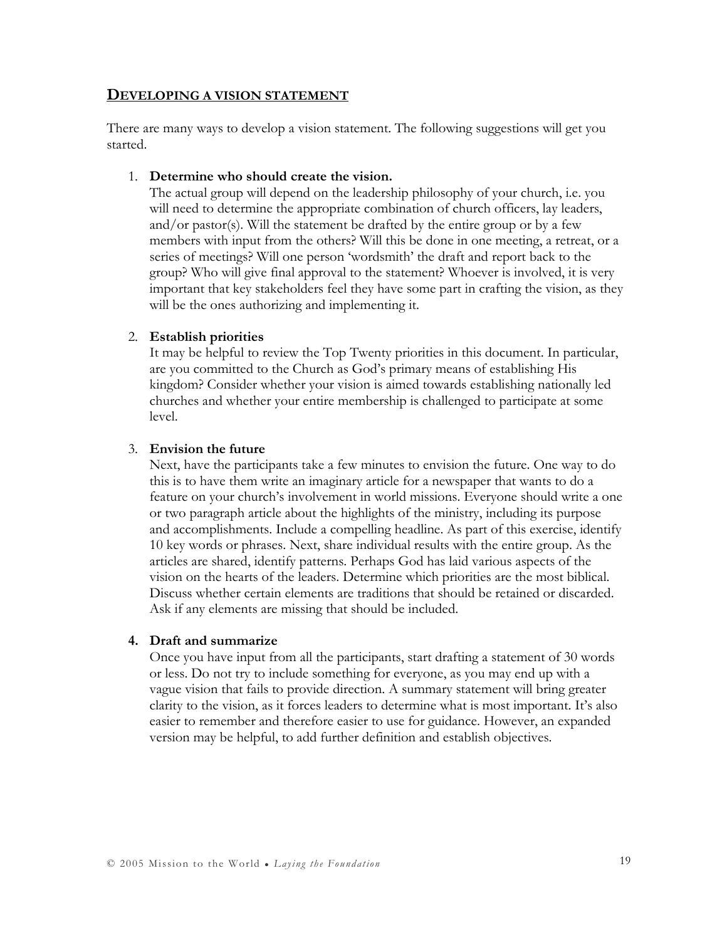#### DEVELOPING A VISION STATEMENT

There are many ways to develop a vision statement. The following suggestions will get you started.

#### 1. Determine who should create the vision.

The actual group will depend on the leadership philosophy of your church, i.e. you will need to determine the appropriate combination of church officers, lay leaders, and/or pastor(s). Will the statement be drafted by the entire group or by a few members with input from the others? Will this be done in one meeting, a retreat, or a series of meetings? Will one person 'wordsmith' the draft and report back to the group? Who will give final approval to the statement? Whoever is involved, it is very important that key stakeholders feel they have some part in crafting the vision, as they will be the ones authorizing and implementing it.

#### 2. Establish priorities

It may be helpful to review the Top Twenty priorities in this document. In particular, are you committed to the Church as God's primary means of establishing His kingdom? Consider whether your vision is aimed towards establishing nationally led churches and whether your entire membership is challenged to participate at some level.

#### 3. Envision the future

Next, have the participants take a few minutes to envision the future. One way to do this is to have them write an imaginary article for a newspaper that wants to do a feature on your church's involvement in world missions. Everyone should write a one or two paragraph article about the highlights of the ministry, including its purpose and accomplishments. Include a compelling headline. As part of this exercise, identify 10 key words or phrases. Next, share individual results with the entire group. As the articles are shared, identify patterns. Perhaps God has laid various aspects of the vision on the hearts of the leaders. Determine which priorities are the most biblical. Discuss whether certain elements are traditions that should be retained or discarded. Ask if any elements are missing that should be included.

#### 4. Draft and summarize

Once you have input from all the participants, start drafting a statement of 30 words or less. Do not try to include something for everyone, as you may end up with a vague vision that fails to provide direction. A summary statement will bring greater clarity to the vision, as it forces leaders to determine what is most important. It's also easier to remember and therefore easier to use for guidance. However, an expanded version may be helpful, to add further definition and establish objectives.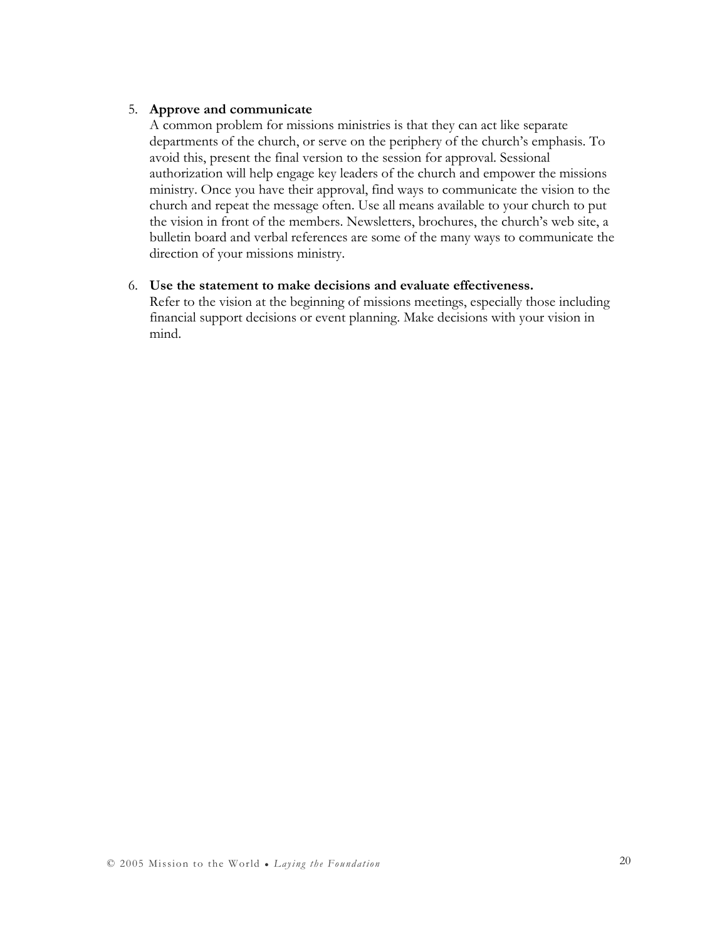#### 5. Approve and communicate

A common problem for missions ministries is that they can act like separate departments of the church, or serve on the periphery of the church's emphasis. To avoid this, present the final version to the session for approval. Sessional authorization will help engage key leaders of the church and empower the missions ministry. Once you have their approval, find ways to communicate the vision to the church and repeat the message often. Use all means available to your church to put the vision in front of the members. Newsletters, brochures, the church's web site, a bulletin board and verbal references are some of the many ways to communicate the direction of your missions ministry.

#### 6. Use the statement to make decisions and evaluate effectiveness.

Refer to the vision at the beginning of missions meetings, especially those including financial support decisions or event planning. Make decisions with your vision in mind.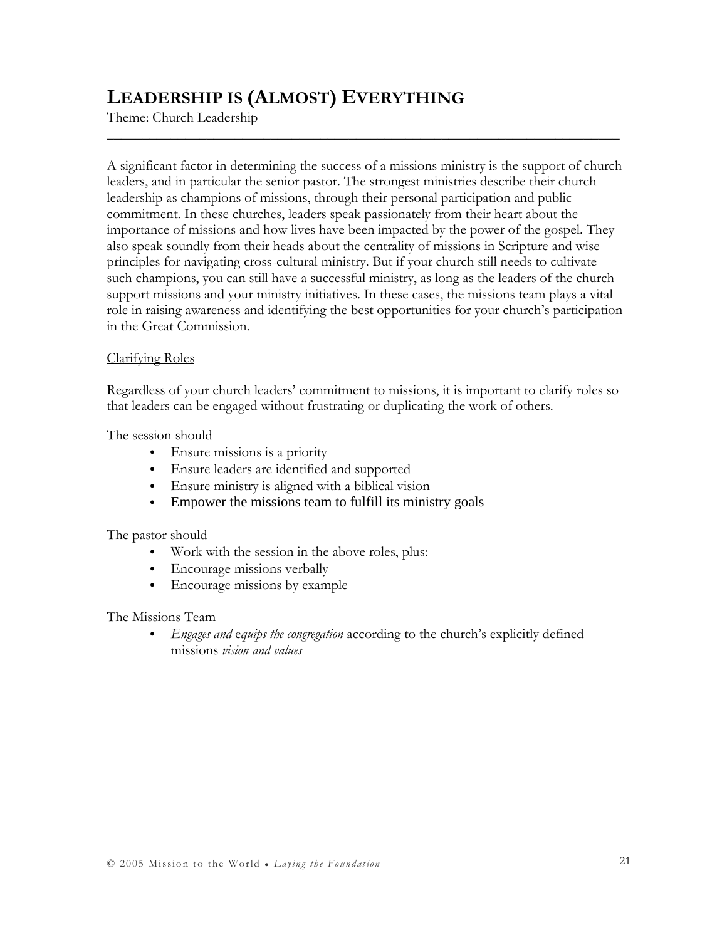## LEADERSHIP IS (ALMOST) EVERYTHING

Theme: Church Leadership

A significant factor in determining the success of a missions ministry is the support of church leaders, and in particular the senior pastor. The strongest ministries describe their church leadership as champions of missions, through their personal participation and public commitment. In these churches, leaders speak passionately from their heart about the importance of missions and how lives have been impacted by the power of the gospel. They also speak soundly from their heads about the centrality of missions in Scripture and wise principles for navigating cross-cultural ministry. But if your church still needs to cultivate such champions, you can still have a successful ministry, as long as the leaders of the church support missions and your ministry initiatives. In these cases, the missions team plays a vital role in raising awareness and identifying the best opportunities for your church's participation in the Great Commission.

\_\_\_\_\_\_\_\_\_\_\_\_\_\_\_\_\_\_\_\_\_\_\_\_\_\_\_\_\_\_\_\_\_\_\_\_\_\_\_\_\_\_\_\_\_\_\_\_\_\_\_\_\_\_\_\_\_\_\_\_\_\_\_\_\_\_\_\_\_\_\_\_

#### Clarifying Roles

Regardless of your church leaders' commitment to missions, it is important to clarify roles so that leaders can be engaged without frustrating or duplicating the work of others.

The session should

- Ensure missions is a priority
- Ensure leaders are identified and supported
- Ensure ministry is aligned with a biblical vision
- Empower the missions team to fulfill its ministry goals

The pastor should

- Work with the session in the above roles, plus:
- Encourage missions verbally
- Encourage missions by example

The Missions Team

• Engages and equips the congregation according to the church's explicitly defined missions vision and values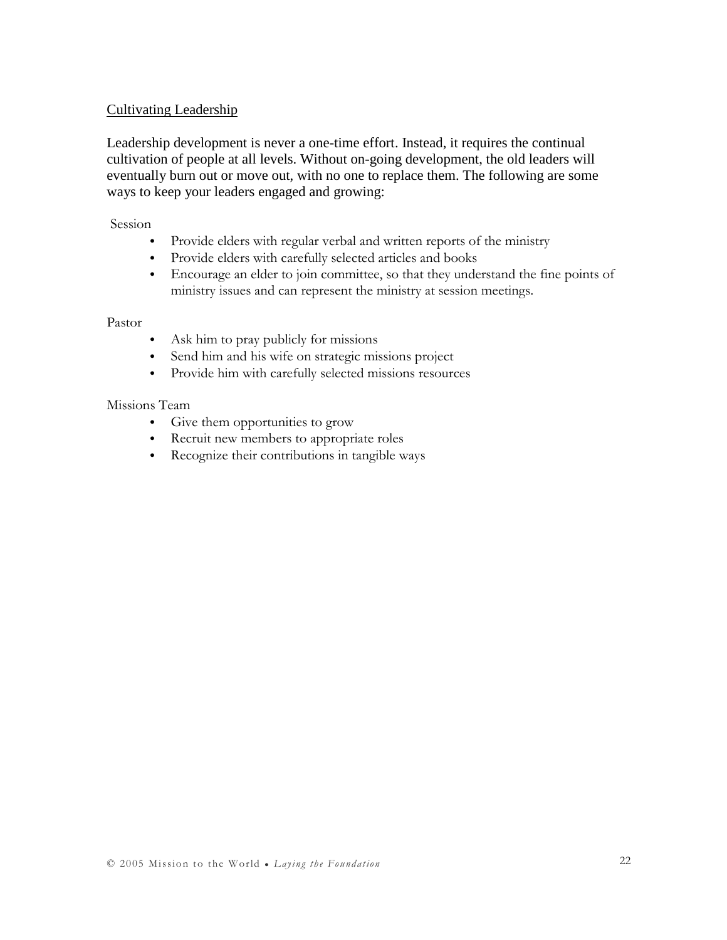#### Cultivating Leadership

Leadership development is never a one-time effort. Instead, it requires the continual cultivation of people at all levels. Without on-going development, the old leaders will eventually burn out or move out, with no one to replace them. The following are some ways to keep your leaders engaged and growing:

#### Session

- Provide elders with regular verbal and written reports of the ministry
- Provide elders with carefully selected articles and books
- Encourage an elder to join committee, so that they understand the fine points of ministry issues and can represent the ministry at session meetings.

#### Pastor

- Ask him to pray publicly for missions
- Send him and his wife on strategic missions project
- Provide him with carefully selected missions resources

#### Missions Team

- Give them opportunities to grow
- Recruit new members to appropriate roles
- Recognize their contributions in tangible ways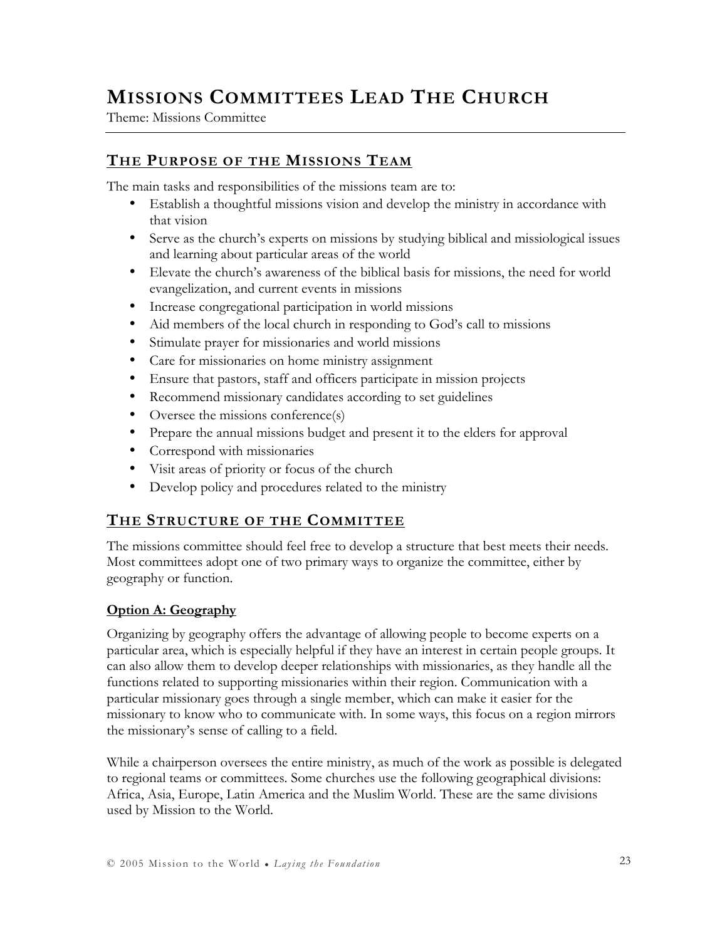## MISSIONS COMMITTEES LEAD THE CHURCH

Theme: Missions Committee

### THE PURPOSE OF THE MISSIONS TEAM

The main tasks and responsibilities of the missions team are to:

- Establish a thoughtful missions vision and develop the ministry in accordance with that vision
- Serve as the church's experts on missions by studying biblical and missiological issues and learning about particular areas of the world
- Elevate the church's awareness of the biblical basis for missions, the need for world evangelization, and current events in missions
- Increase congregational participation in world missions
- Aid members of the local church in responding to God's call to missions
- Stimulate prayer for missionaries and world missions
- Care for missionaries on home ministry assignment
- Ensure that pastors, staff and officers participate in mission projects
- Recommend missionary candidates according to set guidelines
- Oversee the missions conference(s)
- Prepare the annual missions budget and present it to the elders for approval
- Correspond with missionaries
- Visit areas of priority or focus of the church
- Develop policy and procedures related to the ministry

### THE STRUCTURE OF THE COMMITTEE

The missions committee should feel free to develop a structure that best meets their needs. Most committees adopt one of two primary ways to organize the committee, either by geography or function.

### Option A: Geography

Organizing by geography offers the advantage of allowing people to become experts on a particular area, which is especially helpful if they have an interest in certain people groups. It can also allow them to develop deeper relationships with missionaries, as they handle all the functions related to supporting missionaries within their region. Communication with a particular missionary goes through a single member, which can make it easier for the missionary to know who to communicate with. In some ways, this focus on a region mirrors the missionary's sense of calling to a field.

While a chairperson oversees the entire ministry, as much of the work as possible is delegated to regional teams or committees. Some churches use the following geographical divisions: Africa, Asia, Europe, Latin America and the Muslim World. These are the same divisions used by Mission to the World.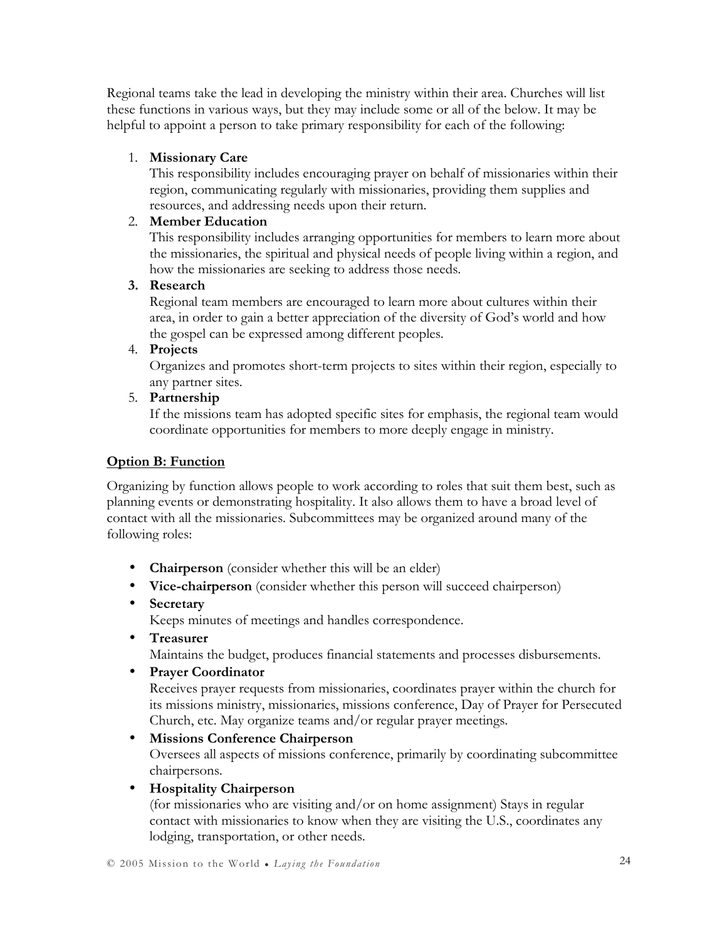Regional teams take the lead in developing the ministry within their area. Churches will list these functions in various ways, but they may include some or all of the below. It may be helpful to appoint a person to take primary responsibility for each of the following:

#### 1. Missionary Care

This responsibility includes encouraging prayer on behalf of missionaries within their region, communicating regularly with missionaries, providing them supplies and resources, and addressing needs upon their return.

#### 2. Member Education

This responsibility includes arranging opportunities for members to learn more about the missionaries, the spiritual and physical needs of people living within a region, and how the missionaries are seeking to address those needs.

#### 3. Research

Regional team members are encouraged to learn more about cultures within their area, in order to gain a better appreciation of the diversity of God's world and how the gospel can be expressed among different peoples.

4. Projects

Organizes and promotes short-term projects to sites within their region, especially to any partner sites.

### 5. Partnership

If the missions team has adopted specific sites for emphasis, the regional team would coordinate opportunities for members to more deeply engage in ministry.

#### Option B: Function

Organizing by function allows people to work according to roles that suit them best, such as planning events or demonstrating hospitality. It also allows them to have a broad level of contact with all the missionaries. Subcommittees may be organized around many of the following roles:

- **Chairperson** (consider whether this will be an elder)
- Vice-chairperson (consider whether this person will succeed chairperson)
- Secretary

Keeps minutes of meetings and handles correspondence.

• Treasurer

Maintains the budget, produces financial statements and processes disbursements.

• Prayer Coordinator

Receives prayer requests from missionaries, coordinates prayer within the church for its missions ministry, missionaries, missions conference, Day of Prayer for Persecuted Church, etc. May organize teams and/or regular prayer meetings.

### • Missions Conference Chairperson

Oversees all aspects of missions conference, primarily by coordinating subcommittee chairpersons.

### • Hospitality Chairperson

(for missionaries who are visiting and/or on home assignment) Stays in regular contact with missionaries to know when they are visiting the U.S., coordinates any lodging, transportation, or other needs.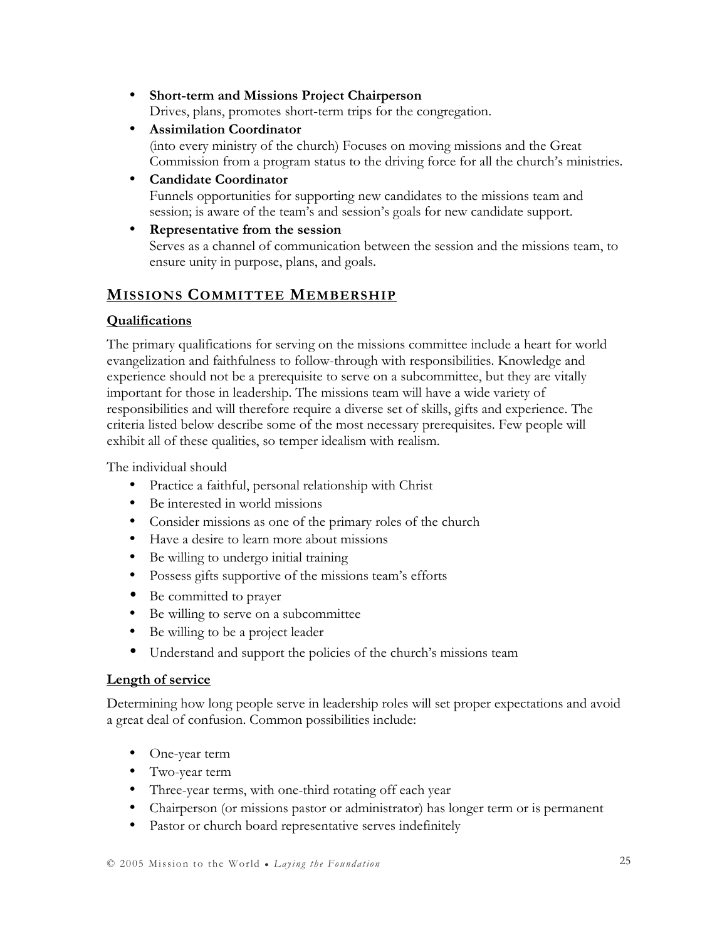- Short-term and Missions Project Chairperson Drives, plans, promotes short-term trips for the congregation.
- Assimilation Coordinator (into every ministry of the church) Focuses on moving missions and the Great Commission from a program status to the driving force for all the church's ministries.
- Candidate Coordinator Funnels opportunities for supporting new candidates to the missions team and session; is aware of the team's and session's goals for new candidate support.
- Representative from the session Serves as a channel of communication between the session and the missions team, to ensure unity in purpose, plans, and goals.

### MISSIONS COMMITTEE MEMBERSHIP

### Qualifications

The primary qualifications for serving on the missions committee include a heart for world evangelization and faithfulness to follow-through with responsibilities. Knowledge and experience should not be a prerequisite to serve on a subcommittee, but they are vitally important for those in leadership. The missions team will have a wide variety of responsibilities and will therefore require a diverse set of skills, gifts and experience. The criteria listed below describe some of the most necessary prerequisites. Few people will exhibit all of these qualities, so temper idealism with realism.

The individual should

- Practice a faithful, personal relationship with Christ
- Be interested in world missions
- Consider missions as one of the primary roles of the church
- Have a desire to learn more about missions
- Be willing to undergo initial training
- Possess gifts supportive of the missions team's efforts
- Be committed to prayer
- Be willing to serve on a subcommittee
- Be willing to be a project leader
- Understand and support the policies of the church's missions team

### Length of service

Determining how long people serve in leadership roles will set proper expectations and avoid a great deal of confusion. Common possibilities include:

- One-year term
- Two-year term
- Three-year terms, with one-third rotating off each year
- Chairperson (or missions pastor or administrator) has longer term or is permanent
- Pastor or church board representative serves indefinitely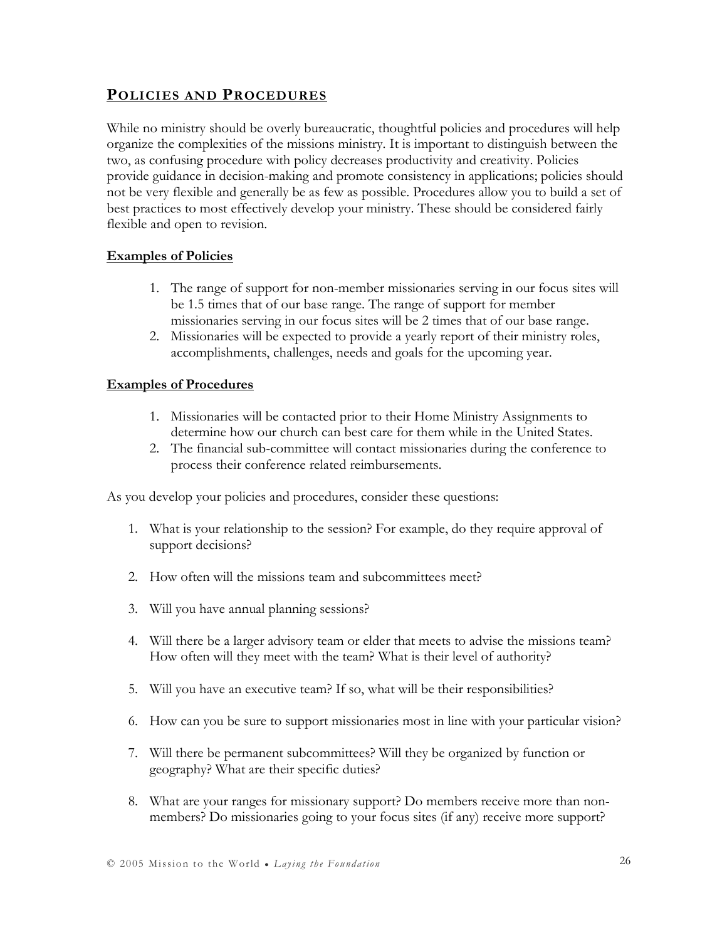### POLICIES AND PROCEDURES

While no ministry should be overly bureaucratic, thoughtful policies and procedures will help organize the complexities of the missions ministry. It is important to distinguish between the two, as confusing procedure with policy decreases productivity and creativity. Policies provide guidance in decision-making and promote consistency in applications; policies should not be very flexible and generally be as few as possible. Procedures allow you to build a set of best practices to most effectively develop your ministry. These should be considered fairly flexible and open to revision.

#### **Examples of Policies**

- 1. The range of support for non-member missionaries serving in our focus sites will be 1.5 times that of our base range. The range of support for member missionaries serving in our focus sites will be 2 times that of our base range.
- 2. Missionaries will be expected to provide a yearly report of their ministry roles, accomplishments, challenges, needs and goals for the upcoming year.

#### Examples of Procedures

- 1. Missionaries will be contacted prior to their Home Ministry Assignments to determine how our church can best care for them while in the United States.
- 2. The financial sub-committee will contact missionaries during the conference to process their conference related reimbursements.

As you develop your policies and procedures, consider these questions:

- 1. What is your relationship to the session? For example, do they require approval of support decisions?
- 2. How often will the missions team and subcommittees meet?
- 3. Will you have annual planning sessions?
- 4. Will there be a larger advisory team or elder that meets to advise the missions team? How often will they meet with the team? What is their level of authority?
- 5. Will you have an executive team? If so, what will be their responsibilities?
- 6. How can you be sure to support missionaries most in line with your particular vision?
- 7. Will there be permanent subcommittees? Will they be organized by function or geography? What are their specific duties?
- 8. What are your ranges for missionary support? Do members receive more than nonmembers? Do missionaries going to your focus sites (if any) receive more support?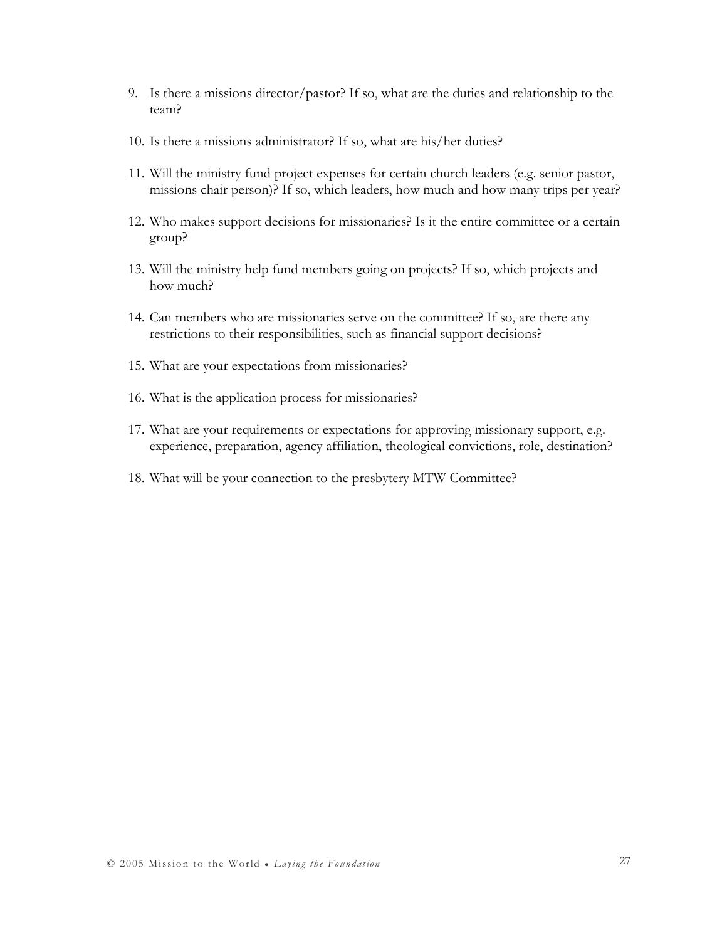- 9. Is there a missions director/pastor? If so, what are the duties and relationship to the team?
- 10. Is there a missions administrator? If so, what are his/her duties?
- 11. Will the ministry fund project expenses for certain church leaders (e.g. senior pastor, missions chair person)? If so, which leaders, how much and how many trips per year?
- 12. Who makes support decisions for missionaries? Is it the entire committee or a certain group?
- 13. Will the ministry help fund members going on projects? If so, which projects and how much?
- 14. Can members who are missionaries serve on the committee? If so, are there any restrictions to their responsibilities, such as financial support decisions?
- 15. What are your expectations from missionaries?
- 16. What is the application process for missionaries?
- 17. What are your requirements or expectations for approving missionary support, e.g. experience, preparation, agency affiliation, theological convictions, role, destination?
- 18. What will be your connection to the presbytery MTW Committee?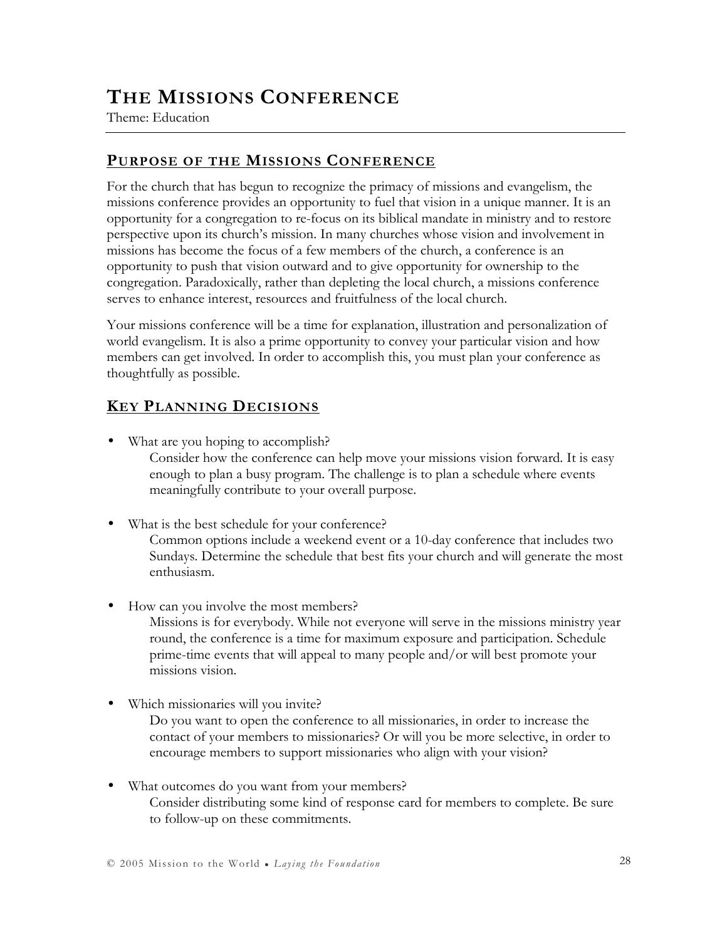## THE MISSIONS CONFERENCE

Theme: Education

### PURPOSE OF THE MISSIONS CONFERENCE

For the church that has begun to recognize the primacy of missions and evangelism, the missions conference provides an opportunity to fuel that vision in a unique manner. It is an opportunity for a congregation to re-focus on its biblical mandate in ministry and to restore perspective upon its church's mission. In many churches whose vision and involvement in missions has become the focus of a few members of the church, a conference is an opportunity to push that vision outward and to give opportunity for ownership to the congregation. Paradoxically, rather than depleting the local church, a missions conference serves to enhance interest, resources and fruitfulness of the local church.

Your missions conference will be a time for explanation, illustration and personalization of world evangelism. It is also a prime opportunity to convey your particular vision and how members can get involved. In order to accomplish this, you must plan your conference as thoughtfully as possible.

### KEY PLANNING DECISIONS

- What are you hoping to accomplish? Consider how the conference can help move your missions vision forward. It is easy enough to plan a busy program. The challenge is to plan a schedule where events meaningfully contribute to your overall purpose.
- What is the best schedule for your conference? Common options include a weekend event or a 10-day conference that includes two Sundays. Determine the schedule that best fits your church and will generate the most enthusiasm.
- How can you involve the most members?

Missions is for everybody. While not everyone will serve in the missions ministry year round, the conference is a time for maximum exposure and participation. Schedule prime-time events that will appeal to many people and/or will best promote your missions vision.

• Which missionaries will you invite?

Do you want to open the conference to all missionaries, in order to increase the contact of your members to missionaries? Or will you be more selective, in order to encourage members to support missionaries who align with your vision?

• What outcomes do you want from your members? Consider distributing some kind of response card for members to complete. Be sure to follow-up on these commitments.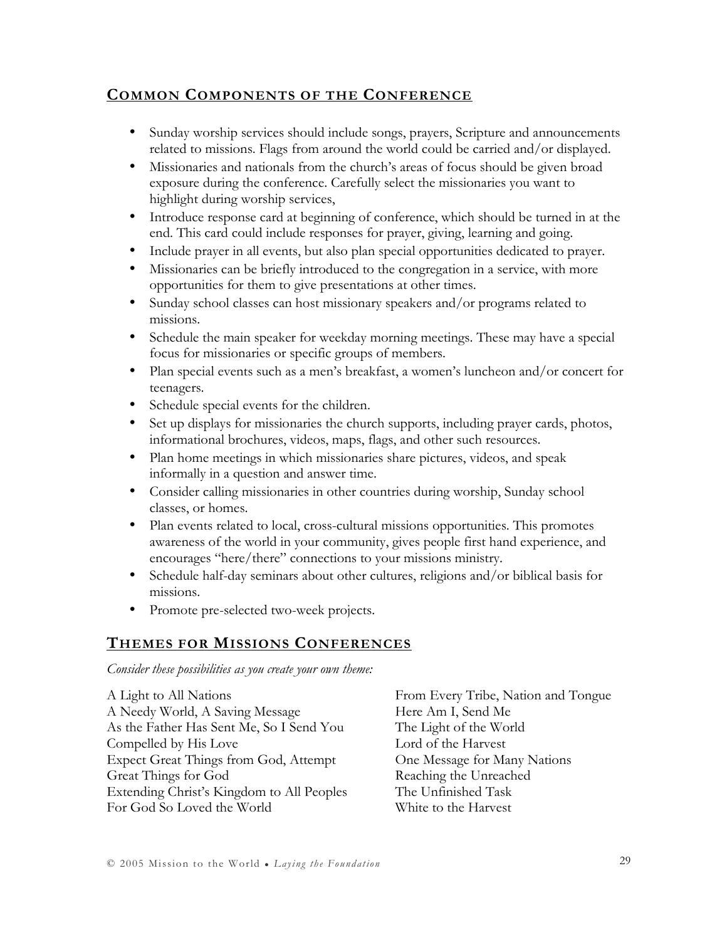### COMMON COMPONENTS OF THE CONFERENCE

- Sunday worship services should include songs, prayers, Scripture and announcements related to missions. Flags from around the world could be carried and/or displayed.
- Missionaries and nationals from the church's areas of focus should be given broad exposure during the conference. Carefully select the missionaries you want to highlight during worship services,
- Introduce response card at beginning of conference, which should be turned in at the end. This card could include responses for prayer, giving, learning and going.
- Include prayer in all events, but also plan special opportunities dedicated to prayer.
- Missionaries can be briefly introduced to the congregation in a service, with more opportunities for them to give presentations at other times.
- Sunday school classes can host missionary speakers and/or programs related to missions.
- Schedule the main speaker for weekday morning meetings. These may have a special focus for missionaries or specific groups of members.
- Plan special events such as a men's breakfast, a women's luncheon and/or concert for teenagers.
- Schedule special events for the children.
- Set up displays for missionaries the church supports, including prayer cards, photos, informational brochures, videos, maps, flags, and other such resources.
- Plan home meetings in which missionaries share pictures, videos, and speak informally in a question and answer time.
- Consider calling missionaries in other countries during worship, Sunday school classes, or homes.
- Plan events related to local, cross-cultural missions opportunities. This promotes awareness of the world in your community, gives people first hand experience, and encourages "here/there" connections to your missions ministry.
- Schedule half-day seminars about other cultures, religions and/or biblical basis for missions.
- Promote pre-selected two-week projects.

### THEMES FOR MISSIONS CONFERENCES

Consider these possibilities as you create your own theme:

A Light to All Nations A Needy World, A Saving Message As the Father Has Sent Me, So I Send You Compelled by His Love Expect Great Things from God, Attempt Great Things for God Extending Christ's Kingdom to All Peoples For God So Loved the World

From Every Tribe, Nation and Tongue Here Am I, Send Me The Light of the World Lord of the Harvest One Message for Many Nations Reaching the Unreached The Unfinished Task White to the Harvest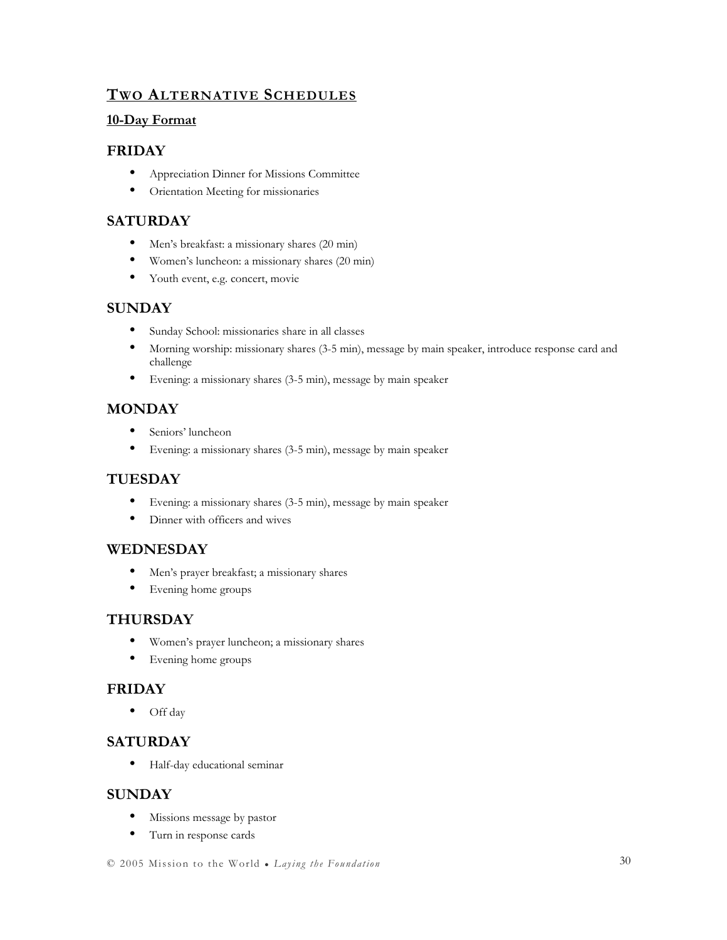### TWO ALTERNATIVE SCHEDULES

#### 10-Day Format

#### FRIDAY

- Appreciation Dinner for Missions Committee
- Orientation Meeting for missionaries

#### SATURDAY

- Men's breakfast: a missionary shares (20 min)
- Women's luncheon: a missionary shares (20 min)
- Youth event, e.g. concert, movie

#### **SUNDAY**

- Sunday School: missionaries share in all classes
- Morning worship: missionary shares (3-5 min), message by main speaker, introduce response card and challenge
- Evening: a missionary shares (3-5 min), message by main speaker

### **MONDAY**

- Seniors' luncheon
- Evening: a missionary shares (3-5 min), message by main speaker

### TUESDAY

- Evening: a missionary shares (3-5 min), message by main speaker
- Dinner with officers and wives

#### WEDNESDAY

- Men's prayer breakfast; a missionary shares
- Evening home groups

#### THURSDAY

- Women's prayer luncheon; a missionary shares
- Evening home groups

#### FRIDAY

• Off day

#### **SATURDAY**

• Half-day educational seminar

#### **SUNDAY**

- Missions message by pastor
- Turn in response cards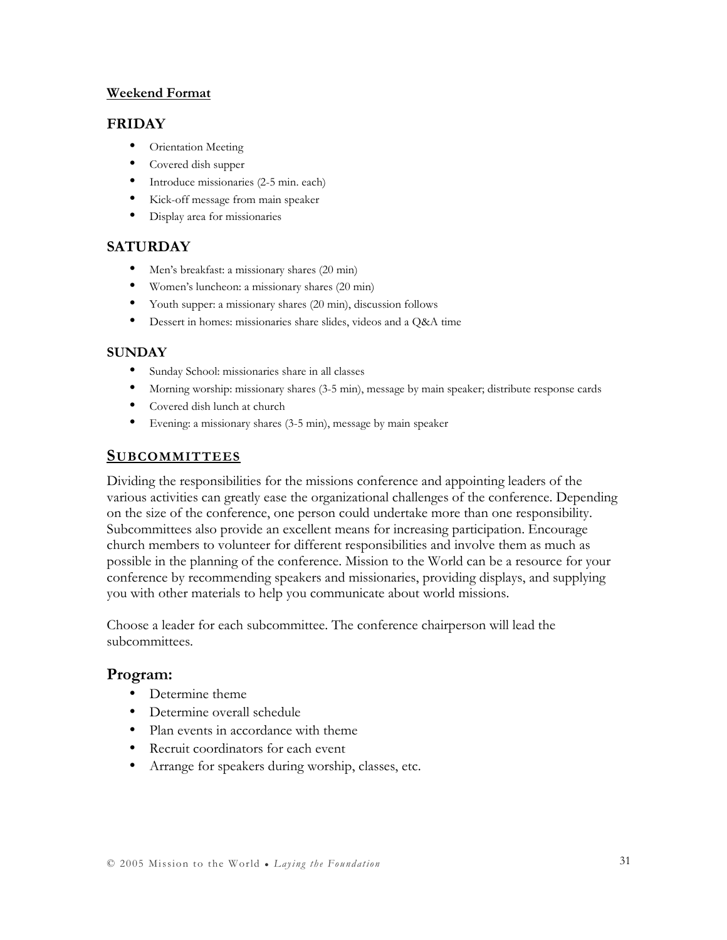#### Weekend Format

#### FRIDAY

- Orientation Meeting
- Covered dish supper
- Introduce missionaries (2-5 min. each)
- Kick-off message from main speaker
- Display area for missionaries

### **SATURDAY**

- Men's breakfast: a missionary shares (20 min)
- Women's luncheon: a missionary shares (20 min)
- Youth supper: a missionary shares (20 min), discussion follows
- Dessert in homes: missionaries share slides, videos and a Q&A time

#### **SUNDAY**

- Sunday School: missionaries share in all classes
- Morning worship: missionary shares (3-5 min), message by main speaker; distribute response cards
- Covered dish lunch at church
- Evening: a missionary shares (3-5 min), message by main speaker

### **SUBCOMMITTEES**

Dividing the responsibilities for the missions conference and appointing leaders of the various activities can greatly ease the organizational challenges of the conference. Depending on the size of the conference, one person could undertake more than one responsibility. Subcommittees also provide an excellent means for increasing participation. Encourage church members to volunteer for different responsibilities and involve them as much as possible in the planning of the conference. Mission to the World can be a resource for your conference by recommending speakers and missionaries, providing displays, and supplying you with other materials to help you communicate about world missions.

Choose a leader for each subcommittee. The conference chairperson will lead the subcommittees.

### Program:

- Determine theme
- Determine overall schedule
- Plan events in accordance with theme
- Recruit coordinators for each event
- Arrange for speakers during worship, classes, etc.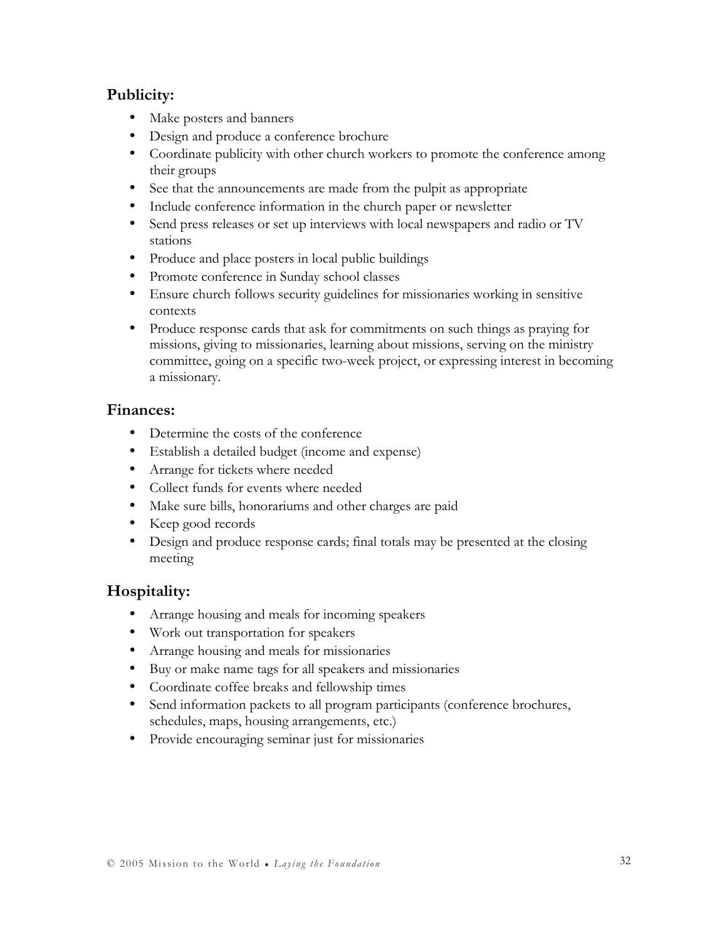### Publicity:

- Make posters and banners
- Design and produce a conference brochure
- Coordinate publicity with other church workers to promote the conference among their groups
- See that the announcements are made from the pulpit as appropriate
- Include conference information in the church paper or newsletter
- Send press releases or set up interviews with local newspapers and radio or TV stations
- Produce and place posters in local public buildings
- Promote conference in Sunday school classes
- Ensure church follows security guidelines for missionaries working in sensitive contexts
- Produce response cards that ask for commitments on such things as praying for missions, giving to missionaries, learning about missions, serving on the ministry committee, going on a specific two-week project, or expressing interest in becoming a missionary.

### Finances:

- Determine the costs of the conference
- Establish a detailed budget (income and expense)
- Arrange for tickets where needed
- Collect funds for events where needed
- Make sure bills, honorariums and other charges are paid
- Keep good records
- Design and produce response cards; final totals may be presented at the closing meeting

### Hospitality:

- Arrange housing and meals for incoming speakers
- Work out transportation for speakers
- Arrange housing and meals for missionaries
- Buy or make name tags for all speakers and missionaries
- Coordinate coffee breaks and fellowship times
- Send information packets to all program participants (conference brochures, schedules, maps, housing arrangements, etc.)
- Provide encouraging seminar just for missionaries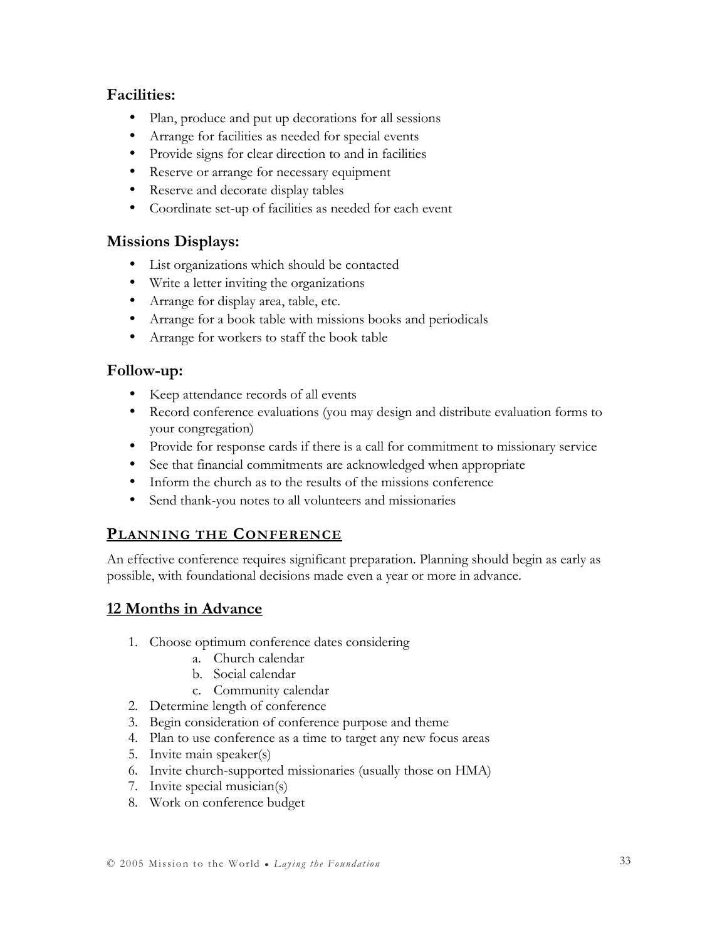### Facilities:

- Plan, produce and put up decorations for all sessions
- Arrange for facilities as needed for special events
- Provide signs for clear direction to and in facilities
- Reserve or arrange for necessary equipment
- Reserve and decorate display tables
- Coordinate set-up of facilities as needed for each event

### Missions Displays:

- List organizations which should be contacted
- Write a letter inviting the organizations
- Arrange for display area, table, etc.
- Arrange for a book table with missions books and periodicals
- Arrange for workers to staff the book table

### Follow-up:

- Keep attendance records of all events
- Record conference evaluations (you may design and distribute evaluation forms to your congregation)
- Provide for response cards if there is a call for commitment to missionary service
- See that financial commitments are acknowledged when appropriate
- Inform the church as to the results of the missions conference
- Send thank-you notes to all volunteers and missionaries

### PLANNING THE CONFERENCE

An effective conference requires significant preparation. Planning should begin as early as possible, with foundational decisions made even a year or more in advance.

### 12 Months in Advance

- 1. Choose optimum conference dates considering
	- a. Church calendar
	- b. Social calendar
	- c. Community calendar
- 2. Determine length of conference
- 3. Begin consideration of conference purpose and theme
- 4. Plan to use conference as a time to target any new focus areas
- 5. Invite main speaker(s)
- 6. Invite church-supported missionaries (usually those on HMA)
- 7. Invite special musician(s)
- 8. Work on conference budget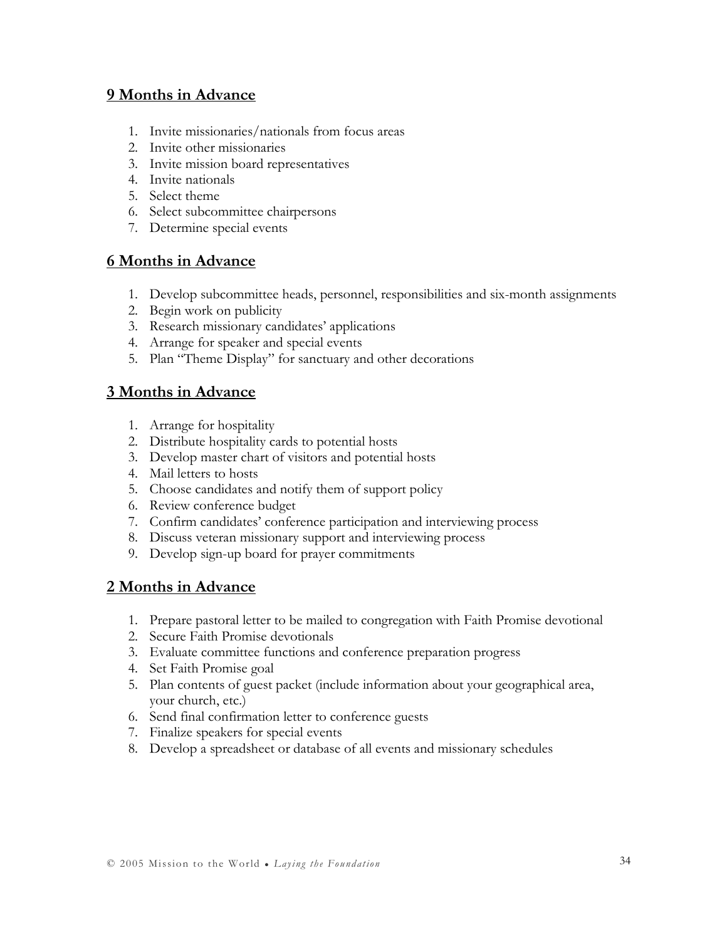### 9 Months in Advance

- 1. Invite missionaries/nationals from focus areas
- 2. Invite other missionaries
- 3. Invite mission board representatives
- 4. Invite nationals
- 5. Select theme
- 6. Select subcommittee chairpersons
- 7. Determine special events

### 6 Months in Advance

- 1. Develop subcommittee heads, personnel, responsibilities and six-month assignments
- 2. Begin work on publicity
- 3. Research missionary candidates' applications
- 4. Arrange for speaker and special events
- 5. Plan "Theme Display" for sanctuary and other decorations

### 3 Months in Advance

- 1. Arrange for hospitality
- 2. Distribute hospitality cards to potential hosts
- 3. Develop master chart of visitors and potential hosts
- 4. Mail letters to hosts
- 5. Choose candidates and notify them of support policy
- 6. Review conference budget
- 7. Confirm candidates' conference participation and interviewing process
- 8. Discuss veteran missionary support and interviewing process
- 9. Develop sign-up board for prayer commitments

### 2 Months in Advance

- 1. Prepare pastoral letter to be mailed to congregation with Faith Promise devotional
- 2. Secure Faith Promise devotionals
- 3. Evaluate committee functions and conference preparation progress
- 4. Set Faith Promise goal
- 5. Plan contents of guest packet (include information about your geographical area, your church, etc.)
- 6. Send final confirmation letter to conference guests
- 7. Finalize speakers for special events
- 8. Develop a spreadsheet or database of all events and missionary schedules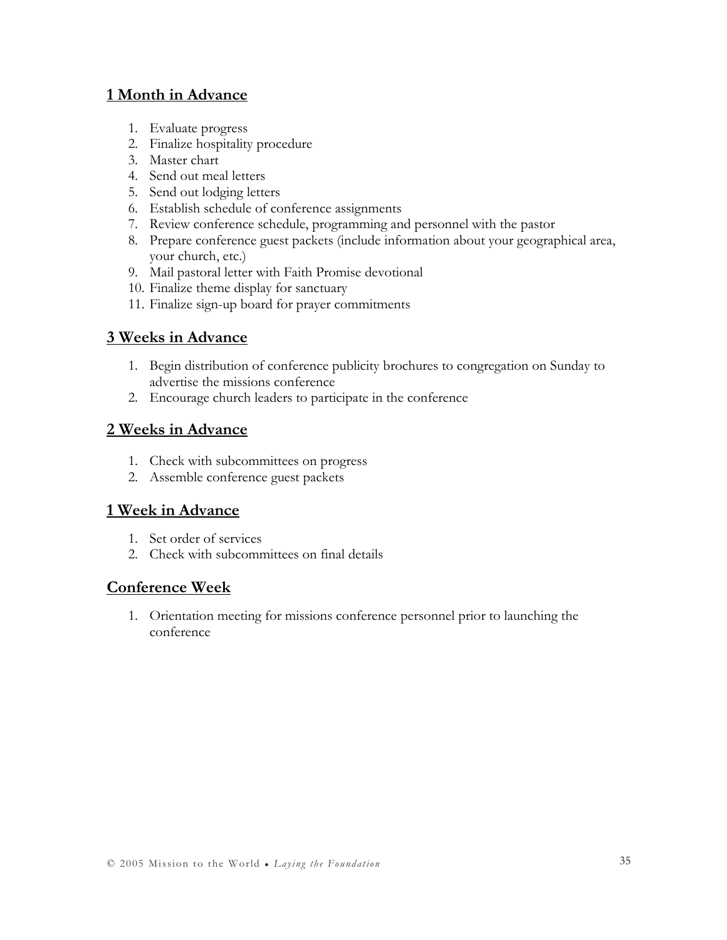### 1 Month in Advance

- 1. Evaluate progress
- 2. Finalize hospitality procedure
- 3. Master chart
- 4. Send out meal letters
- 5. Send out lodging letters
- 6. Establish schedule of conference assignments
- 7. Review conference schedule, programming and personnel with the pastor
- 8. Prepare conference guest packets (include information about your geographical area, your church, etc.)
- 9. Mail pastoral letter with Faith Promise devotional
- 10. Finalize theme display for sanctuary
- 11. Finalize sign-up board for prayer commitments

### 3 Weeks in Advance

- 1. Begin distribution of conference publicity brochures to congregation on Sunday to advertise the missions conference
- 2. Encourage church leaders to participate in the conference

### 2 Weeks in Advance

- 1. Check with subcommittees on progress
- 2. Assemble conference guest packets

### 1 Week in Advance

- 1. Set order of services
- 2. Check with subcommittees on final details

### Conference Week

1. Orientation meeting for missions conference personnel prior to launching the conference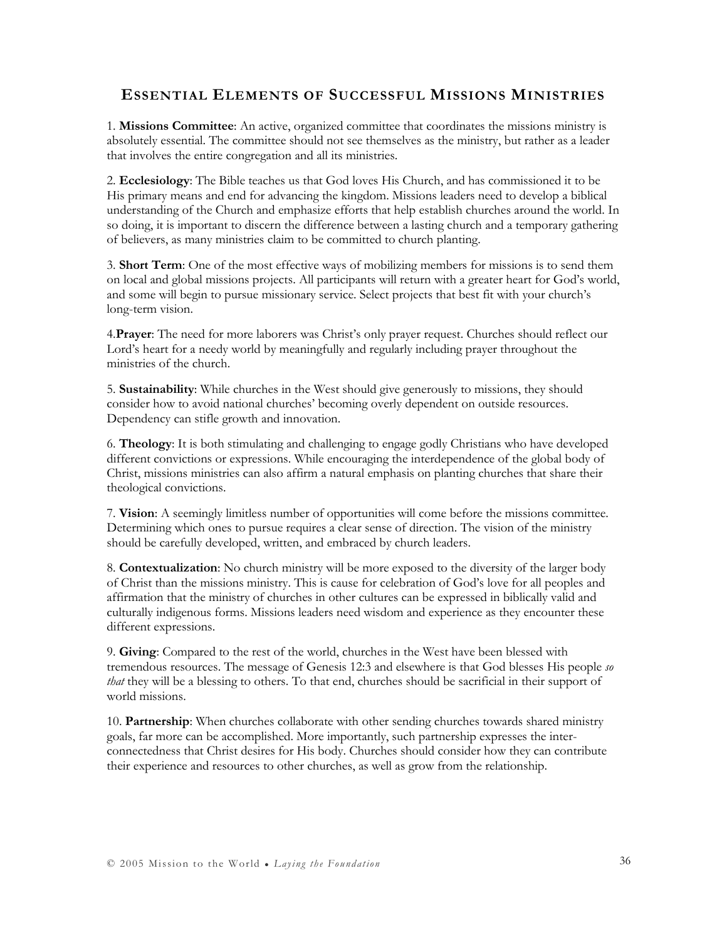#### ESSENTIAL ELEMENTS OF SUCCESSFUL MISSIONS MINISTRIES

1. Missions Committee: An active, organized committee that coordinates the missions ministry is absolutely essential. The committee should not see themselves as the ministry, but rather as a leader that involves the entire congregation and all its ministries.

2. Ecclesiology: The Bible teaches us that God loves His Church, and has commissioned it to be His primary means and end for advancing the kingdom. Missions leaders need to develop a biblical understanding of the Church and emphasize efforts that help establish churches around the world. In so doing, it is important to discern the difference between a lasting church and a temporary gathering of believers, as many ministries claim to be committed to church planting.

3. Short Term: One of the most effective ways of mobilizing members for missions is to send them on local and global missions projects. All participants will return with a greater heart for God's world, and some will begin to pursue missionary service. Select projects that best fit with your church's long-term vision.

4. Prayer: The need for more laborers was Christ's only prayer request. Churches should reflect our Lord's heart for a needy world by meaningfully and regularly including prayer throughout the ministries of the church.

5. Sustainability: While churches in the West should give generously to missions, they should consider how to avoid national churches' becoming overly dependent on outside resources. Dependency can stifle growth and innovation.

6. Theology: It is both stimulating and challenging to engage godly Christians who have developed different convictions or expressions. While encouraging the interdependence of the global body of Christ, missions ministries can also affirm a natural emphasis on planting churches that share their theological convictions.

7. Vision: A seemingly limitless number of opportunities will come before the missions committee. Determining which ones to pursue requires a clear sense of direction. The vision of the ministry should be carefully developed, written, and embraced by church leaders.

8. Contextualization: No church ministry will be more exposed to the diversity of the larger body of Christ than the missions ministry. This is cause for celebration of God's love for all peoples and affirmation that the ministry of churches in other cultures can be expressed in biblically valid and culturally indigenous forms. Missions leaders need wisdom and experience as they encounter these different expressions.

9. Giving: Compared to the rest of the world, churches in the West have been blessed with tremendous resources. The message of Genesis 12:3 and elsewhere is that God blesses His people so that they will be a blessing to others. To that end, churches should be sacrificial in their support of world missions.

10. Partnership: When churches collaborate with other sending churches towards shared ministry goals, far more can be accomplished. More importantly, such partnership expresses the interconnectedness that Christ desires for His body. Churches should consider how they can contribute their experience and resources to other churches, as well as grow from the relationship.